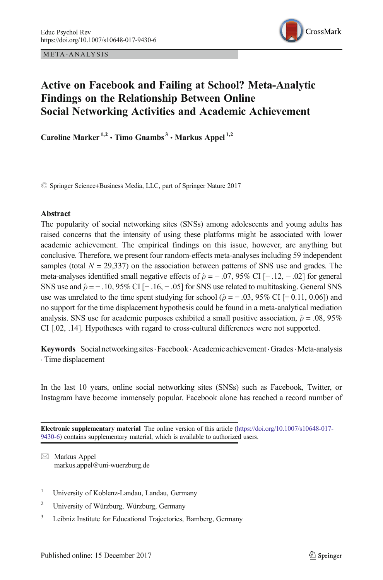META -ANALYS IS



# Active on Facebook and Failing at School? Meta-Analytic Findings on the Relationship Between Online Social Networking Activities and Academic Achievement

Caroline Marker<sup>1,2</sup>  $\cdot$  Timo Gnambs<sup>3</sup>  $\cdot$  Markus Appel<sup>1,2</sup>

© Springer Science+Business Media, LLC, part of Springer Nature 2017

#### Abstract

The popularity of social networking sites (SNSs) among adolescents and young adults has raised concerns that the intensity of using these platforms might be associated with lower academic achievement. The empirical findings on this issue, however, are anything but conclusive. Therefore, we present four random-effects meta-analyses including 59 independent samples (total  $N = 29,337$ ) on the association between patterns of SNS use and grades. The meta-analyses identified small negative effects of  $\hat{\rho} = -0.07$ , 95% CI [− .12, − .02] for general SNS use and  $\hat{\rho} = -0.10$ , 95% CI [− .16, − .05] for SNS use related to multitasking. General SNS use was unrelated to the time spent studying for school ( $\hat{\rho} = -0.03$ , 95% CI [− 0.11, 0.06]) and no support for the time displacement hypothesis could be found in a meta-analytical mediation analysis. SNS use for academic purposes exhibited a small positive association,  $\hat{\rho} = .08, 95\%$ CI [.02, .14]. Hypotheses with regard to cross-cultural differences were not supported.

Keywords Social networking sites · Facebook · Academic achievement · Grades · Meta-analysis . Time displacement

In the last 10 years, online social networking sites (SNSs) such as Facebook, Twitter, or Instagram have become immensely popular. Facebook alone has reached a record number of

Electronic supplementary material The online version of this article ([https://doi.org/10.1007/s10648-017-](https://doi.org/10.1007/s10648-017-9430-6) [9430-6\)](https://doi.org/10.1007/s10648-017-9430-6) contains supplementary material, which is available to authorized users.

 $\boxtimes$  Markus Appel [markus.appel@uni-wuerzburg.de](mailto:markus.appel@uni-uerzburg.de)

- <sup>1</sup> University of Koblenz-Landau, Landau, Germany
- <sup>2</sup> University of Würzburg, Würzburg, Germany
- <sup>3</sup> Leibniz Institute for Educational Trajectories, Bamberg, Germany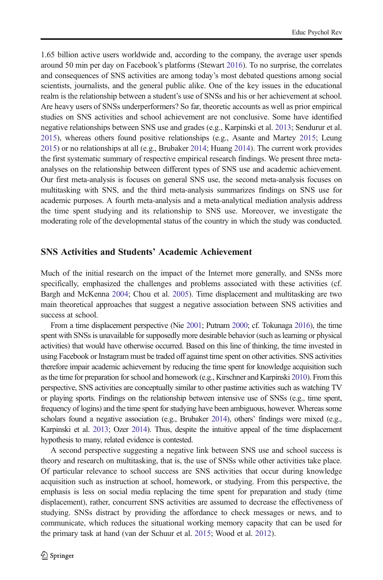1.65 billion active users worldwide and, according to the company, the average user spends around 50 min per day on Facebook's platforms (Stewart [2016](#page-25-0)). To no surprise, the correlates and consequences of SNS activities are among today's most debated questions among social scientists, journalists, and the general public alike. One of the key issues in the educational realm is the relationship between a student's use of SNSs and his or her achievement at school. Are heavy users of SNSs underperformers? So far, theoretic accounts as well as prior empirical studies on SNS activities and school achievement are not conclusive. Some have identified negative relationships between SNS use and grades (e.g., Karpinski et al. [2013](#page-23-0); Sendurur et al. [2015](#page-25-0)), whereas others found positive relationships (e.g., Asante and Martey [2015](#page-21-0); Leung [2015](#page-23-0)) or no relationships at all (e.g., Brubaker [2014](#page-21-0); Huang [2014](#page-22-0)). The current work provides the first systematic summary of respective empirical research findings. We present three metaanalyses on the relationship between different types of SNS use and academic achievement. Our first meta-analysis is focuses on general SNS use, the second meta-analysis focuses on multitasking with SNS, and the third meta-analysis summarizes findings on SNS use for academic purposes. A fourth meta-analysis and a meta-analytical mediation analysis address the time spent studying and its relationship to SNS use. Moreover, we investigate the moderating role of the developmental status of the country in which the study was conducted.

# SNS Activities and Students' Academic Achievement

Much of the initial research on the impact of the Internet more generally, and SNSs more specifically, emphasized the challenges and problems associated with these activities (cf. Bargh and McKenna [2004](#page-21-0); Chou et al. [2005\)](#page-21-0). Time displacement and multitasking are two main theoretical approaches that suggest a negative association between SNS activities and success at school.

From a time displacement perspective (Nie [2001;](#page-24-0) Putnam [2000](#page-24-0); cf. Tokunaga [2016\)](#page-25-0), the time spent with SNSs is unavailable for supposedly more desirable behavior (such as learning or physical activities) that would have otherwise occurred. Based on this line of thinking, the time invested in using Facebook or Instagram must be traded off against time spent on other activities. SNS activities therefore impair academic achievement by reducing the time spent for knowledge acquisition such as the time for preparation for school and homework (e.g., Kirschner and Karpinski [2010](#page-23-0)). From this perspective, SNS activities are conceptually similar to other pastime activities such as watching TV or playing sports. Findings on the relationship between intensive use of SNSs (e.g., time spent, frequency of logins) and the time spent for studying have been ambiguous, however. Whereas some scholars found a negative association (e.g., Brubaker [2014\)](#page-21-0), others' findings were mixed (e.g., Karpinski et al. [2013](#page-23-0); Ozer [2014\)](#page-24-0). Thus, despite the intuitive appeal of the time displacement hypothesis to many, related evidence is contested.

A second perspective suggesting a negative link between SNS use and school success is theory and research on multitasking, that is, the use of SNSs while other activities take place. Of particular relevance to school success are SNS activities that occur during knowledge acquisition such as instruction at school, homework, or studying. From this perspective, the emphasis is less on social media replacing the time spent for preparation and study (time displacement), rather, concurrent SNS activities are assumed to decrease the effectiveness of studying. SNSs distract by providing the affordance to check messages or news, and to communicate, which reduces the situational working memory capacity that can be used for the primary task at hand (van der Schuur et al. [2015;](#page-25-0) Wood et al. [2012\)](#page-26-0).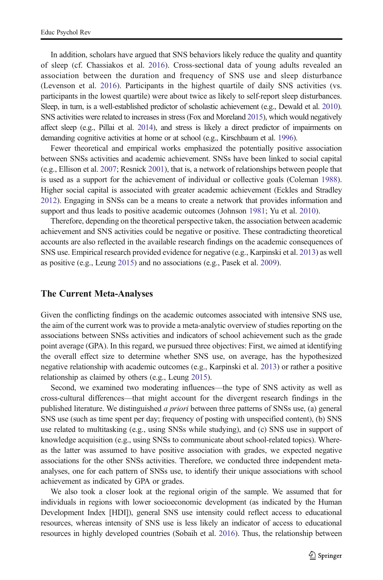In addition, scholars have argued that SNS behaviors likely reduce the quality and quantity of sleep (cf. Chassiakos et al. [2016](#page-21-0)). Cross-sectional data of young adults revealed an association between the duration and frequency of SNS use and sleep disturbance (Levenson et al. [2016](#page-23-0)). Participants in the highest quartile of daily SNS activities (vs. participants in the lowest quartile) were about twice as likely to self-report sleep disturbances. Sleep, in turn, is a well-established predictor of scholastic achievement (e.g., Dewald et al. [2010](#page-21-0)). SNS activities were related to increases in stress (Fox and Moreland [2015\)](#page-22-0), which would negatively affect sleep (e.g., Pillai et al. [2014\)](#page-24-0), and stress is likely a direct predictor of impairments on demanding cognitive activities at home or at school (e.g., Kirschbaum et al. [1996\)](#page-23-0).

Fewer theoretical and empirical works emphasized the potentially positive association between SNSs activities and academic achievement. SNSs have been linked to social capital (e.g., Ellison et al. [2007;](#page-22-0) Resnick [2001\)](#page-24-0), that is, a network of relationships between people that is used as a support for the achievement of individual or collective goals (Coleman [1988](#page-21-0)). Higher social capital is associated with greater academic achievement (Eckles and Stradley [2012](#page-22-0)). Engaging in SNSs can be a means to create a network that provides information and support and thus leads to positive academic outcomes (Johnson [1981](#page-23-0); Yu et al. [2010](#page-26-0)).

Therefore, depending on the theoretical perspective taken, the association between academic achievement and SNS activities could be negative or positive. These contradicting theoretical accounts are also reflected in the available research findings on the academic consequences of SNS use. Empirical research provided evidence for negative (e.g., Karpinski et al. [2013](#page-23-0)) as well as positive (e.g., Leung [2015\)](#page-23-0) and no associations (e.g., Pasek et al. [2009\)](#page-24-0).

### The Current Meta-Analyses

Given the conflicting findings on the academic outcomes associated with intensive SNS use, the aim of the current work was to provide a meta-analytic overview of studies reporting on the associations between SNSs activities and indicators of school achievement such as the grade point average (GPA). In this regard, we pursued three objectives: First, we aimed at identifying the overall effect size to determine whether SNS use, on average, has the hypothesized negative relationship with academic outcomes (e.g., Karpinski et al. [2013\)](#page-23-0) or rather a positive relationship as claimed by others (e.g., Leung [2015](#page-23-0)).

Second, we examined two moderating influences—the type of SNS activity as well as cross-cultural differences—that might account for the divergent research findings in the published literature. We distinguished *a priori* between three patterns of SNSs use, (a) general SNS use (such as time spent per day; frequency of posting with unspecified content), (b) SNS use related to multitasking (e.g., using SNSs while studying), and (c) SNS use in support of knowledge acquisition (e.g., using SNSs to communicate about school-related topics). Whereas the latter was assumed to have positive association with grades, we expected negative associations for the other SNSs activities. Therefore, we conducted three independent metaanalyses, one for each pattern of SNSs use, to identify their unique associations with school achievement as indicated by GPA or grades.

We also took a closer look at the regional origin of the sample. We assumed that for individuals in regions with lower socioeconomic development (as indicated by the Human Development Index [HDI]), general SNS use intensity could reflect access to educational resources, whereas intensity of SNS use is less likely an indicator of access to educational resources in highly developed countries (Sobaih et al. [2016\)](#page-25-0). Thus, the relationship between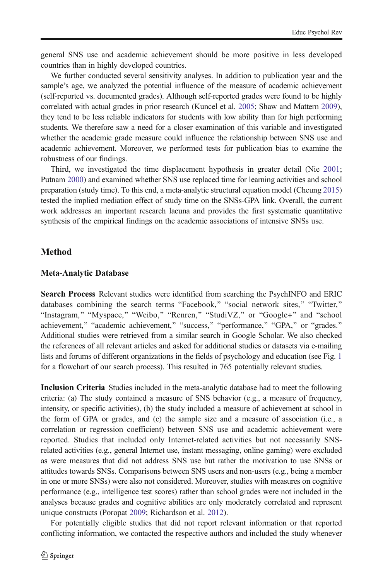general SNS use and academic achievement should be more positive in less developed countries than in highly developed countries.

We further conducted several sensitivity analyses. In addition to publication year and the sample's age, we analyzed the potential influence of the measure of academic achievement (self-reported vs. documented grades). Although self-reported grades were found to be highly correlated with actual grades in prior research (Kuncel et al. [2005](#page-23-0); Shaw and Mattern [2009](#page-25-0)), they tend to be less reliable indicators for students with low ability than for high performing students. We therefore saw a need for a closer examination of this variable and investigated whether the academic grade measure could influence the relationship between SNS use and academic achievement. Moreover, we performed tests for publication bias to examine the robustness of our findings.

Third, we investigated the time displacement hypothesis in greater detail (Nie [2001](#page-24-0); Putnam [2000\)](#page-24-0) and examined whether SNS use replaced time for learning activities and school preparation (study time). To this end, a meta-analytic structural equation model (Cheung [2015\)](#page-21-0) tested the implied mediation effect of study time on the SNSs-GPA link. Overall, the current work addresses an important research lacuna and provides the first systematic quantitative synthesis of the empirical findings on the academic associations of intensive SNSs use.

## Method

#### Meta-Analytic Database

Search Process Relevant studies were identified from searching the PsychINFO and ERIC databases combining the search terms "Facebook," "social network sites," "Twitter," "Instagram," "Myspace," "Weibo," "Renren," "StudiVZ," or "Google+" and "school achievement," "academic achievement," "success," "performance," "GPA," or "grades." Additional studies were retrieved from a similar search in Google Scholar. We also checked the references of all relevant articles and asked for additional studies or datasets via e-mailing lists and forums of different organizations in the fields of psychology and education (see Fig. [1](#page-4-0) for a flowchart of our search process). This resulted in 765 potentially relevant studies.

Inclusion Criteria Studies included in the meta-analytic database had to meet the following criteria: (a) The study contained a measure of SNS behavior (e.g., a measure of frequency, intensity, or specific activities), (b) the study included a measure of achievement at school in the form of GPA or grades, and (c) the sample size and a measure of association (i.e., a correlation or regression coefficient) between SNS use and academic achievement were reported. Studies that included only Internet-related activities but not necessarily SNSrelated activities (e.g., general Internet use, instant messaging, online gaming) were excluded as were measures that did not address SNS use but rather the motivation to use SNSs or attitudes towards SNSs. Comparisons between SNS users and non-users (e.g., being a member in one or more SNSs) were also not considered. Moreover, studies with measures on cognitive performance (e.g., intelligence test scores) rather than school grades were not included in the analyses because grades and cognitive abilities are only moderately correlated and represent unique constructs (Poropat [2009](#page-24-0); Richardson et al. [2012\)](#page-24-0).

For potentially eligible studies that did not report relevant information or that reported conflicting information, we contacted the respective authors and included the study whenever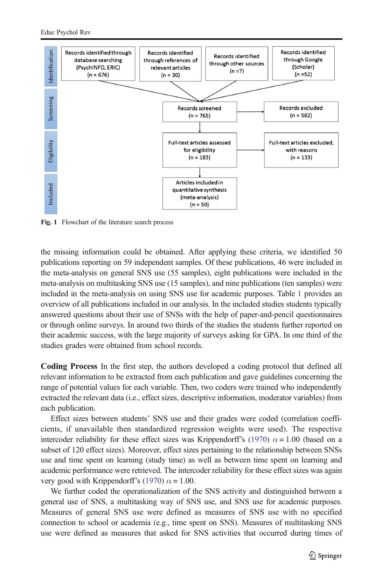<span id="page-4-0"></span>

Fig. 1 Flowchart of the literature search process

the missing information could be obtained. After applying these criteria, we identified 50 publications reporting on 59 independent samples. Of these publications, 46 were included in the meta-analysis on general SNS use (55 samples), eight publications were included in the meta-analysis on multitasking SNS use (15 samples), and nine publications (ten samples) were included in the meta-analysis on using SNS use for academic purposes. Table [1](#page-5-0) provides an overview of all publications included in our analysis. In the included studies students typically answered questions about their use of SNSs with the help of paper-and-pencil questionnaires or through online surveys. In around two thirds of the studies the students further reported on their academic success, with the large majority of surveys asking for GPA. In one third of the studies grades were obtained from school records.

Coding Process In the first step, the authors developed a coding protocol that defined all relevant information to be extracted from each publication and gave guidelines concerning the range of potential values for each variable. Then, two coders were trained who independently extracted the relevant data (i.e., effect sizes, descriptive information, moderator variables) from each publication.

Effect sizes between students' SNS use and their grades were coded (correlation coefficients, if unavailable then standardized regression weights were used). The respective intercoder reliability for these effect sizes was Krippendorff's ([1970](#page-23-0))  $\alpha$  = 1.00 (based on a subset of 120 effect sizes). Moreover, effect sizes pertaining to the relationship between SNSs use and time spent on learning (study time) as well as between time spent on learning and academic performance were retrieved. The intercoder reliability for these effect sizes was again very good with Krippendorff's ([1970](#page-23-0))  $\alpha = 1.00$ .

We further coded the operationalization of the SNS activity and distinguished between a general use of SNS, a multitasking way of SNS use, and SNS use for academic purposes. Measures of general SNS use were defined as measures of SNS use with no specified connection to school or academia (e.g., time spent on SNS). Measures of multitasking SNS use were defined as measures that asked for SNS activities that occurred during times of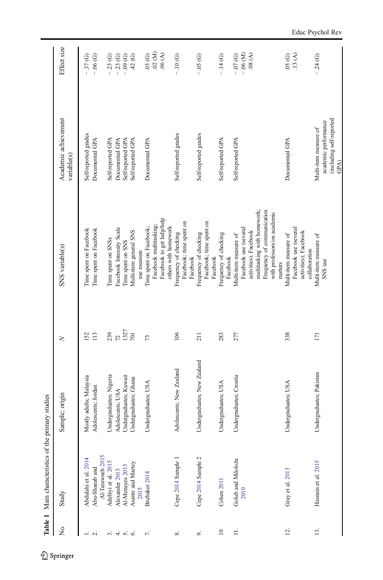<span id="page-5-0"></span>

|                | Table 1 Main characteristics of the | primary studies             |                |                                                                             |                                                  |                                                        |
|----------------|-------------------------------------|-----------------------------|----------------|-----------------------------------------------------------------------------|--------------------------------------------------|--------------------------------------------------------|
| Σó,            | Study                               | Sample; origin              | ≳              | SNS variable(s)                                                             | Academic achievement<br>variable(s)              | Effect size                                            |
|                | Abdulahi et al. 2014                | Mostly adults; Malaysia     | 152            | Time spent on Facebook                                                      | Self-reported grades                             | $-.37(G)$                                              |
| 2.             | Al-Tarawneh 2015<br>Abu-Shanab and  | Adolescents; Jordan         | 113            | Time spent on Facebook                                                      | Documented GPA                                   | $-06$ (G)                                              |
|                | Adebiyi et al. 2015                 | Undergraduates; Nigeria     | 239            | Time spent on SNSs                                                          | Self-reported GPA                                | $-23(G)$                                               |
| ળ 4            | Alexander 2013                      | Adolescents; USA            | $\overline{z}$ | Pacebook Intensity Scale                                                    | Documented GPA                                   | $-.23(G)$                                              |
| $\frac{1}{6}$  | Al-Menayes 2015                     | Undergraduates; Kuwait      |                | Time spent on SNS                                                           | Self-reported GPA                                | $-.09(G)$                                              |
|                | Asante and Martey<br>2015           | Undergraduates; Ghana       | $1327$<br>701  | Multi-item general SNS<br>use measure                                       | Self-reported GPA                                | $.42\ (G)$                                             |
| 7.             | Brubaker 2014                       | Undergraduates; USA         | 73             | Time spent on Facebook;                                                     | Documented GPA                                   |                                                        |
|                |                                     |                             |                | Facebook to get help/help<br>Facebook multitasking;<br>others with homework |                                                  | $^{03}$ (G) $^{02}$ (M) $^{\prime\prime}$<br>.06 $(A)$ |
| ∞ं             | Cepe 2014 Sample 1                  | Adolescents; New Zealand    | 106            | Frequency of checking                                                       | Self-reported grades                             | $-.10(G)$                                              |
|                |                                     |                             |                | Facebook; time spent on<br>Facebook                                         |                                                  |                                                        |
| o.             | Cepe 2014 Sample 2                  | Undergraduates; New Zealand | 211            | Facebook; time spent on<br>Frequency of checking<br>Facebook                | Self-reported grades                             | $-05(G)$                                               |
| $\supseteq$    | <b>Cohen 2011</b>                   | Undergraduates; USA         | 283            | Frequency of checking                                                       | Self-reported GPA                                | $-.14(6)$                                              |
|                |                                     |                             |                | Facebook                                                                    |                                                  |                                                        |
| $\equiv$       | Golub and Miloloža<br>2010          | Undergraduates; Croatia     | 277            | Facebook use (several<br>Multi-item measure of                              | Self-reported GPA                                | $-.06(M)$<br>$-07(G)$                                  |
|                |                                     |                             |                | activities); Facebook                                                       |                                                  | $(\forall)$ 80.                                        |
|                |                                     |                             |                | Frequency of communication<br>multitasking with homework;                   |                                                  |                                                        |
|                |                                     |                             |                | with professors/on academic<br>matters                                      |                                                  |                                                        |
| $\overline{c}$ | Gray et al. 2013                    | Undergraduates; USA         | 338            | Multi-item measure of                                                       | Documented GPA                                   | .05(G)                                                 |
|                |                                     |                             |                | Facebook use (several<br>activities); Facebook                              |                                                  | .13 $(A)$                                              |
|                |                                     |                             |                | collaboration                                                               |                                                  |                                                        |
| 13.            | Hasnain et al. 2015                 | Undergraduates; Pakistan    | 171            | Multi-item measure of                                                       | Multi-item measure of                            | $-0.24$ (G)                                            |
|                |                                     |                             |                | SNS use                                                                     | (including self-reported<br>academic performance |                                                        |
|                |                                     |                             |                |                                                                             | GPA)                                             |                                                        |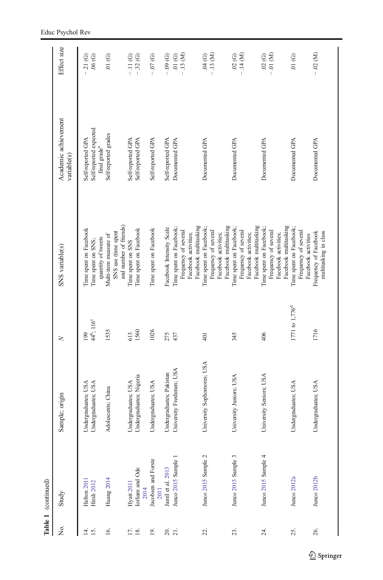|                         | Table 1 (continued)                          |                                                |                                  |                                                                                                  |                                                                         |                             |
|-------------------------|----------------------------------------------|------------------------------------------------|----------------------------------|--------------------------------------------------------------------------------------------------|-------------------------------------------------------------------------|-----------------------------|
| Σó,                     | Study                                        | Sample; origin                                 | ≍                                | SNS variable(s)                                                                                  | Academic achievement<br>variable(s)                                     | Effect size                 |
| $\overline{4}$ .<br>15. | <b>Helton 2011</b><br><b>Hirsh 2012</b>      | Undergraduates; USA<br>Undergraduates; USA     | $44^b$ ; 116 <sup>c</sup><br>199 | Time spent on Facebook<br>quantity of tweets<br>Time spent on SNS;                               | Self-reported expected<br>Self-reported GPA<br>final grade <sup>a</sup> | $.06$ $\times$<br>$-.21(G)$ |
| 16.                     | Huang 2014                                   | Adolescents; China                             | 1535                             | and number of friends)<br>SNS use (time spent<br>Multi-item measure of                           | Self-reported grades                                                    | .01(G)                      |
| $\Xi$ $\cong$           | Iorliam and Ode<br><b>Hyatt 2011</b><br>2014 | Undergraduates; Nigeria<br>Undergraduates; USA | 1560<br>613                      | Time spent on Facebook<br>Time spent on SNS                                                      | Self-reported GPA<br>Self-reported GPA                                  | $-.32(G)$<br>$-.11(G)$      |
| 19.                     | Jacobsen and Forste<br>2011                  | Undergraduates; USA                            | 1026                             | Time spent on Facebook                                                                           | Self-reported GPA                                                       | $-07(G)$                    |
| $\frac{20}{21}$ .       | Jamil et al. 2013                            | Undergraduates; Pakistan                       | 275                              | Facebook Intensity Scale                                                                         | Self-reported GPA                                                       | $-0.09$ (G)                 |
|                         | Junco 2015 Sample 1                          | University Freshmen; USA                       | 437                              | Facebook multitasking<br>Time spent on Facebook;<br>Frequency of several<br>Facebook activities; | Documented GPA                                                          | $-.13(M)$<br>.01 $(G)$      |
| 22.                     | Junco 2015 Sample 2                          | University Sophomores; USA                     | 401                              | Facebook multitasking<br>Time spent on Facebook;<br>Frequency of several<br>Facebook activities; | Documented GPA                                                          | $-.13$ (M)<br>.04(G)        |
| 23.                     | Junco 2015 Sample 3                          | University Juniors; USA                        | 345                              | Facebook multitasking<br>Time spent on Facebook;<br>Frequency of several<br>Facebook activities; | Documented GPA                                                          | $-.14(M)$<br>.02(G)         |
| 24.                     | Junco 2015 Sample 4                          | University Seniors; USA                        | 406                              | Facebook multitasking<br>Time spent on Facebook;<br>Frequency of several<br>Facebook activities; | Documented GPA                                                          | $-.01(M)$<br>$.02\ (G)$     |
| 25.                     | Junco 2012a                                  | Undergraduates; USA                            | 1771 to 1,776 <sup>d</sup>       | Time spent on Facebook;<br>Frequency of several<br>Facebook activities                           | Documented GPA                                                          | .01 $(G)$                   |
| 26.                     | Junco 2012b                                  | Undergraduates; USA                            | 1716                             | multitasking in class<br>Frequency of Facebook                                                   | Documented GPA                                                          | $-.02(M)$                   |
|                         |                                              |                                                |                                  |                                                                                                  |                                                                         |                             |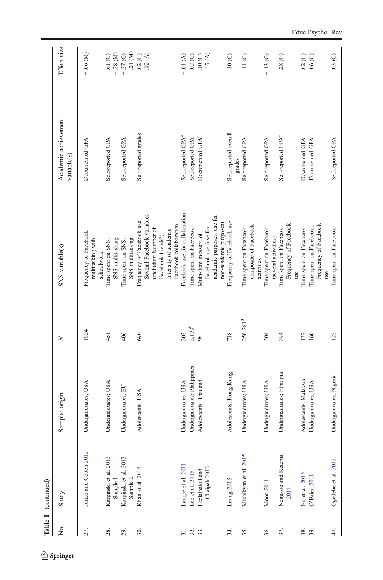|                                           | Table 1 (continued)                   |                             |                      |                                                                                                                                                                         |                                     |                        |
|-------------------------------------------|---------------------------------------|-----------------------------|----------------------|-------------------------------------------------------------------------------------------------------------------------------------------------------------------------|-------------------------------------|------------------------|
| Σó,                                       | Study                                 | Sample; origin              | ≳                    | SNS variable(s)                                                                                                                                                         | Academic achievement<br>variable(s) | Effect size            |
| 27.                                       | Junco and Cotten 2012                 | Undergraduates; USA         | 1624                 | Frequency of Facebook<br>multitasking with<br>schoolwork                                                                                                                | Documented GPA                      | $-.06(M)$              |
| 28.                                       | Karpinski et al. 2013<br>Sample 1     | Undergraduates; USA         | 451                  | SNS multitasking<br>Time spent on SNS;                                                                                                                                  | Self-reported GPA                   | $-.28(M)$<br>$-.61(G)$ |
| 29.                                       | Karpinski et al. 2013<br>Sample $2\,$ | Undergraduates; EU          | 406                  | SNS multitasking<br>Time spent on SNS;                                                                                                                                  | Self-reported GPA                   | (01, 00)<br>$-.27(G)$  |
| 30.                                       | Khan et al. 2014                      | Adolescents; USA            | 690                  | Several Facebook variables<br>Frequency of Facebook use;<br>Facebook collaboration<br>(including Number of<br>Intensity of academic<br>Facebook friends <sup>e</sup> ); | Self-reported grades                | .02(G)<br>.02 $(A)$    |
|                                           | Lampe et al. 2011                     | Undergraduates; USA         | 302                  | Facebook use for collaboration                                                                                                                                          | Self-reported GPA <sup>ª</sup>      | $-.01(A)$              |
| $\frac{1}{2}$ $\frac{1}{2}$ $\frac{1}{2}$ | Lee et al. 2016                       | Undergraduates; Philippines | $3,173^f$            | Time spent on Facebook                                                                                                                                                  | Self-reported GPA                   | $-.02(G)$              |
|                                           | Leelathakul and                       | Adolescents; Thailand       | 98                   | Multi-item measure of                                                                                                                                                   | Documented GPA <sup>ª</sup>         | $-.10(G)$              |
|                                           | Chaipah 2013                          |                             |                      | academic purposes; use for<br>non-academic purposes)<br>Facebook use (use for                                                                                           |                                     | .17 $(A)$              |
| 34.                                       | Leung 2015                            | Adolescents; Hong Kong      | 718                  | Frequency of Facebook use                                                                                                                                               | Self-reported overall<br>grades     | .10(G)                 |
| 35.                                       | Michikyan et al. 2015                 | Undergraduates; USA         | 256-261 <sup>d</sup> | composite of Facebook<br>Time spent on Facebook;<br>activities                                                                                                          | Self-reported GPA                   | $\frac{11}{11}$        |
| 36.                                       | Moon 2011                             | Undergraduates; USA         | 204                  | Time spent on Facebook<br>(several activities)                                                                                                                          | Self-reported GPA                   | $-.13(G)$              |
| 37.                                       | Negussie and Ketema<br>2014           | Undergraduates; Ethiopia    | 394                  | Frequency of Facebook<br>Time spent on Facebook;<br>use                                                                                                                 | Self-reported GPA <sup>ª</sup>      | .28(G)                 |
| 38.                                       | Ng et al. 2015                        | Adolescents; Malaysia       | 137                  | Time spent on Facebook                                                                                                                                                  | Documented GPA                      | $-0.02$ (G)            |
|                                           | O'Brien 2011                          | Undergraduates; USA         | 160                  | Frequency of Facebook<br>Time spent on Facebook;<br>use                                                                                                                 | Documented GPA                      | .06(G)                 |
| 40.                                       | Ogedebe et al. 2012                   | Undergraduates; Nigeria     | 122                  | Time spent on Facebook                                                                                                                                                  | Self-reported GPA                   | .03(G)                 |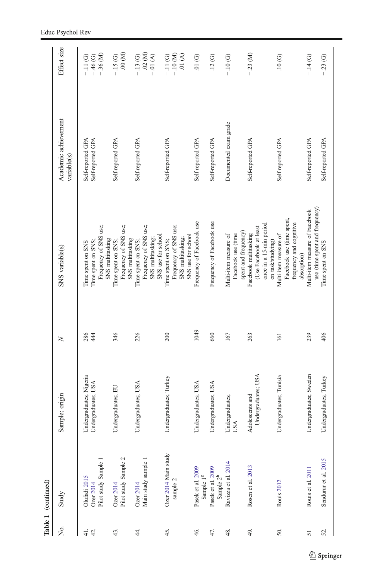|                      | Table 1 (continued)                             |                                                |                  |                                                                                                 |                                        |                                     |
|----------------------|-------------------------------------------------|------------------------------------------------|------------------|-------------------------------------------------------------------------------------------------|----------------------------------------|-------------------------------------|
| Ź.                   | Study                                           | Sample; origin                                 | 2                | SNS variable(s)                                                                                 | Academic achievement<br>variable(s)    | Effect size                         |
| $\frac{1}{4}$<br>42. | Pilot study Sample<br>Olufadi 2015<br>Ozer 2014 | Undergraduates; Nigeria<br>Undergraduates; USA | 286<br>44        | Frequency of SNS use;<br>SNS multitasking<br>Time spent on SNS;<br>Time spent on SNS            | Self-reported GPA<br>Self-reported GPA | $-.36(M)$<br>$-.46(G)$<br>$-11($ G) |
| 43.                  | Ozer 2014<br>Pilot study Sample 2               | Undergraduates; EU                             | 346              | Frequency of SNS use;<br>SNS multitasking<br>Time spent on SNS;                                 | Self-reported GPA                      | (00, 00)<br>$-.15(G)$               |
| 4                    | Main study sample 1<br>Ozer 2014                | Undergraduates; USA                            | 226              | Frequency of SNS use;<br>SNS use for school<br>SNS multitasking;<br>Time spent on SNS;          | Self-reported GPA                      | .02(M)<br>$-.13(G)$<br>$-01(A)$     |
| 45.                  | Ozer 2014 Main study<br>sample $2\,$            | Undergraduates; Turkey                         | 200              | Frequency of SNS use;<br>SNS use for school<br>SNS multitasking;<br>Time spent on SNS;          | Self-reported GPA                      | $-.10(M)$<br>.01 $(A)$<br>$-11$ (G) |
| 46.                  | Pasek et al. 2009<br>Sample $1g$                | Undergraduates; USA                            | 1049             | Frequency of Facebook use                                                                       | Self-reported GPA                      | .01 $(G)$                           |
| 47.                  | Pasek et al. 2009<br>Sample $2^{\rm h}$         | Undergraduates; USA                            | 660              | Frequency of Facebook use                                                                       | Self-reported GPA                      | .12(G)                              |
| 48.                  | Ravizza et al. 2014                             | Undergraduates;<br><b>USA</b>                  | 167              | spent and frequency)<br>Facebook use (time<br>Multi-item measure of                             | Documented exam grade                  | $-.10(G)$                           |
| 49.                  | Rosen et al. 2013                               | Undergraduates; USA<br>Adolescents and         | 263              | once in a 15-min period<br>(Use Facebook at least<br>Facebook multitasking<br>on task/studying) | Self-reported GPA                      | $-0.23$ (M)                         |
| 50.                  | <b>Rouis 2012</b>                               | Undergraduates; Tunisia                        | $\overline{161}$ | Facebook use (time spent,<br>frequency and cognitive<br>Multi-item measure of<br>absorption)    | Self-reported GPA                      | .10(G)                              |
| 51                   | Rouis et al. 2011                               | Undergraduates; Sweden                         | 239              | use (time spent and frequency)<br>Multi-item measure of Facebook                                | Self-reported GPA                      | $-.14(G)$                           |
| 52.                  | Sendunur et al. 2015                            | Undergraduates; Turkey                         | 406              | Time spent on SNS                                                                               | Self-reported GPA                      | $-23(G)$                            |
|                      |                                                 |                                                |                  |                                                                                                 |                                        |                                     |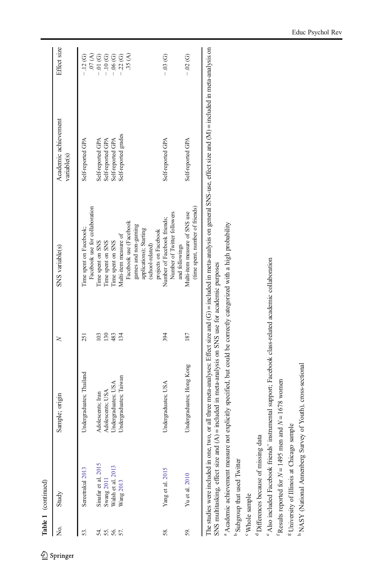|        | Table 1 (continued)             |                           |     |                                                                                                                                                                                           |                                     |                     |
|--------|---------------------------------|---------------------------|-----|-------------------------------------------------------------------------------------------------------------------------------------------------------------------------------------------|-------------------------------------|---------------------|
| ż      | Study                           | Sample; origin            |     | SNS variable(s)                                                                                                                                                                           | Academic achievement<br>variable(s) | Effect size         |
| 53.    | Sereetrakul 2013                | Undergraduates; Thailand  | 251 | Facebook use for collaboration<br>Time spent on Facebook;                                                                                                                                 | Self-reported GPA                   | .07(A)<br>$-.12(6)$ |
| 54.    | Sinafar et al. 2015             | Adolescents; Iran         | 103 | Time spent on SNS                                                                                                                                                                         | Self-reported GPA                   | $-0.01$ (G)         |
| 55,57. |                                 | Adolescents; USA          | 130 | Time spent on SNS                                                                                                                                                                         | Self-reported GPA                   | $-.10(6)$           |
|        | Swang 2011<br>Walsh et al. 2013 | Undergraduates; USA       | 483 | Time spent on SNS                                                                                                                                                                         | Self-reported GPA                   | $-.06(G)$           |
|        | Wang 2013                       | Undergraduates; Taiwan    | 134 | Multi-item measure of                                                                                                                                                                     | Self-reported grades                | $-22(G)$            |
|        |                                 |                           |     | Facebook use (Facebook                                                                                                                                                                    |                                     | .35(A)              |
|        |                                 |                           |     | games and non-gaming<br>applications); Starting<br>(school-related)                                                                                                                       |                                     |                     |
|        |                                 |                           |     | projects on Facebook                                                                                                                                                                      |                                     |                     |
| 58.    | Yang et al. 2015                | Undergraduates; USA       | 394 | Number of Twitter followers<br>Number of Facebook friends;<br>and followings                                                                                                              | Self-reported GPA                   | $-.03(G)$           |
| 59.    | Yu et al. 2010                  | Undergraduates; Hong Kong | 187 | (time spent, number of friends)<br>Multi-item measure of SNS use                                                                                                                          | Self-reported GPA                   | $-02$ (G)           |
|        |                                 |                           |     | The studies were included in one, two, or all three meta-analyses: Effect size and (G) = included in meta-analysis on general SNS-use, effect size and (M) = included in meta-analysis on |                                     |                     |

SNS multitasking, effect size and  $(A)$  = included in meta-analysis on SNS use for academic purposes SNS multitasking, effect size and  $(A)$  = included in meta-analysis on SNS use for academic purposes

<sup>a</sup> Academic achievement measure not explicitly specified, but could be correctly categorized with a high probability Academic achievement measure not explicitly specified, but could be correctly categorized with a high probability

<sup>b</sup> Subgroup that used Twitter <sup>b</sup> Subgroup that used Twitter

° Whole sample Whole sample

<sup>d</sup> Differences because of missing data Differences because of missing data

<sup>e</sup> Also included Facebook friends' instrumental support; Facebook class-related academic collaboration Also included Facebook friends' instrumental support; Facebook class-related academic collaboration

Results reported for  $N = 1495$  men and  $N = 1678$  women Fresults reported for  $N = 1495$  men and  $N = 1678$  women

<sup>g</sup> University of Illinois at Chicago sample University of Illinois at Chicago sample

<sup>h</sup> NASY (National Annenberg Survey of Youth), cross-sectional NASY (National Annenberg Survey of Youth), cross-sectional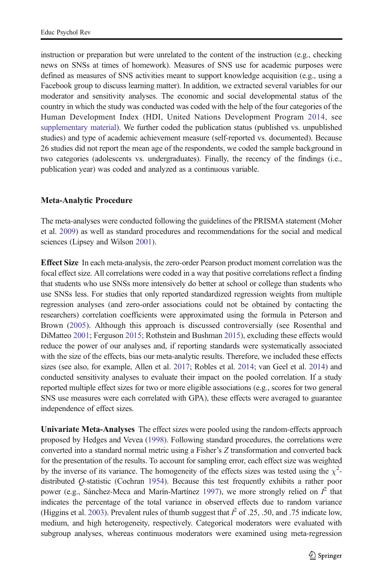instruction or preparation but were unrelated to the content of the instruction (e.g., checking news on SNSs at times of homework). Measures of SNS use for academic purposes were defined as measures of SNS activities meant to support knowledge acquisition (e.g., using a Facebook group to discuss learning matter). In addition, we extracted several variables for our moderator and sensitivity analyses. The economic and social developmental status of the country in which the study was conducted was coded with the help of the four categories of the Human Development Index (HDI, United Nations Development Program [2014](#page-25-0), see supplementary material). We further coded the publication status (published vs. unpublished studies) and type of academic achievement measure (self-reported vs. documented). Because 26 studies did not report the mean age of the respondents, we coded the sample background in two categories (adolescents vs. undergraduates). Finally, the recency of the findings (i.e., publication year) was coded and analyzed as a continuous variable.

#### Meta-Analytic Procedure

The meta-analyses were conducted following the guidelines of the PRISMA statement (Moher et al. [2009\)](#page-24-0) as well as standard procedures and recommendations for the social and medical sciences (Lipsey and Wilson [2001](#page-23-0)).

Effect Size In each meta-analysis, the zero-order Pearson product moment correlation was the focal effect size. All correlations were coded in a way that positive correlations reflect a finding that students who use SNSs more intensively do better at school or college than students who use SNSs less. For studies that only reported standardized regression weights from multiple regression analyses (and zero-order associations could not be obtained by contacting the researchers) correlation coefficients were approximated using the formula in Peterson and Brown ([2005\)](#page-24-0). Although this approach is discussed controversially (see Rosenthal and DiMatteo [2001;](#page-25-0) Ferguson [2015](#page-22-0); Rothstein and Bushman [2015](#page-25-0)), excluding these effects would reduce the power of our analyses and, if reporting standards were systematically associated with the size of the effects, bias our meta-analytic results. Therefore, we included these effects sizes (see also, for example, Allen et al. [2017;](#page-21-0) Robles et al. [2014;](#page-24-0) van Geel et al. [2014](#page-25-0)) and conducted sensitivity analyses to evaluate their impact on the pooled correlation. If a study reported multiple effect sizes for two or more eligible associations (e.g., scores for two general SNS use measures were each correlated with GPA), these effects were averaged to guarantee independence of effect sizes.

Univariate Meta-Analyses The effect sizes were pooled using the random-effects approach proposed by Hedges and Vevea ([1998](#page-22-0)). Following standard procedures, the correlations were converted into a standard normal metric using a Fisher's Z transformation and converted back for the presentation of the results. To account for sampling error, each effect size was weighted by the inverse of its variance. The homogeneity of the effects sizes was tested using the  $\chi^2$ distributed Q-statistic (Cochran [1954](#page-21-0)). Because this test frequently exhibits a rather poor power (e.g., Sánchez-Meca and Marín-Martínez [1997](#page-25-0)), we more strongly relied on  $I^2$  that indicates the percentage of the total variance in observed effects due to random variance (Higgins et al. [2003\)](#page-22-0). Prevalent rules of thumb suggest that  $I^2$  of .25, .50, and .75 indicate low, medium, and high heterogeneity, respectively. Categorical moderators were evaluated with subgroup analyses, whereas continuous moderators were examined using meta-regression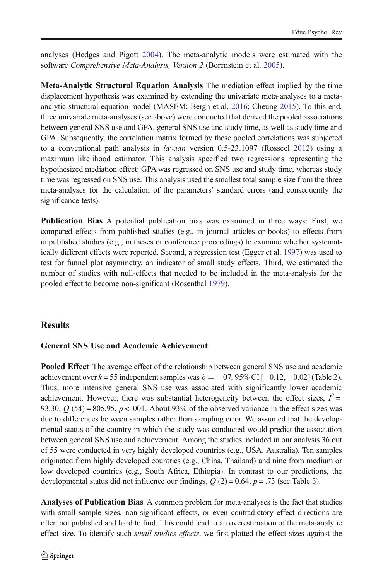analyses (Hedges and Pigott [2004](#page-22-0)). The meta-analytic models were estimated with the software Comprehensive Meta-Analysis, Version 2 (Borenstein et al. [2005](#page-21-0)).

Meta-Analytic Structural Equation Analysis The mediation effect implied by the time displacement hypothesis was examined by extending the univariate meta-analyses to a metaanalytic structural equation model (MASEM; Bergh et al. [2016](#page-21-0); Cheung [2015\)](#page-21-0). To this end, three univariate meta-analyses (see above) were conducted that derived the pooled associations between general SNS use and GPA, general SNS use and study time, as well as study time and GPA. Subsequently, the correlation matrix formed by these pooled correlations was subjected to a conventional path analysis in lavaan version 0.5-23.1097 (Rosseel [2012](#page-25-0)) using a maximum likelihood estimator. This analysis specified two regressions representing the hypothesized mediation effect: GPA was regressed on SNS use and study time, whereas study time was regressed on SNS use. This analysis used the smallest total sample size from the three meta-analyses for the calculation of the parameters' standard errors (and consequently the significance tests).

Publication Bias A potential publication bias was examined in three ways: First, we compared effects from published studies (e.g., in journal articles or books) to effects from unpublished studies (e.g., in theses or conference proceedings) to examine whether systematically different effects were reported. Second, a regression test (Egger et al. [1997\)](#page-22-0) was used to test for funnel plot asymmetry, an indicator of small study effects. Third, we estimated the number of studies with null-effects that needed to be included in the meta-analysis for the pooled effect to become non-significant (Rosenthal [1979](#page-24-0)).

# **Results**

# General SNS Use and Academic Achievement

Pooled Effect The average effect of the relationship between general SNS use and academic achievement over k = 55 independent samples was  $\hat{\rho} = -.07$ , 95% CI [−0.1[2](#page-12-0), −0.02] (Table 2). Thus, more intensive general SNS use was associated with significantly lower academic achievement. However, there was substantial heterogeneity between the effect sizes,  $I^2$  = 93.30,  $Q(54) = 805.95$ ,  $p < .001$ . About 93% of the observed variance in the effect sizes was due to differences between samples rather than sampling error. We assumed that the developmental status of the country in which the study was conducted would predict the association between general SNS use and achievement. Among the studies included in our analysis 36 out of 55 were conducted in very highly developed countries (e.g., USA, Australia). Ten samples originated from highly developed countries (e.g., China, Thailand) and nine from medium or low developed countries (e.g., South Africa, Ethiopia). In contrast to our predictions, the developmental status did not influence our findings,  $Q(2) = 0.64$ ,  $p = .73$  (see Table [3\)](#page-13-0).

Analyses of Publication Bias A common problem for meta-analyses is the fact that studies with small sample sizes, non-significant effects, or even contradictory effect directions are often not published and hard to find. This could lead to an overestimation of the meta-analytic effect size. To identify such *small studies effects*, we first plotted the effect sizes against the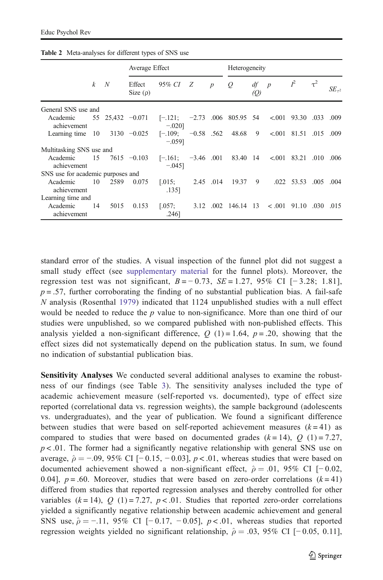|                                   |       |                      | Average Effect          |                                                                                                |   |           | Heterogeneity                              |                             |                     |                      |          |               |
|-----------------------------------|-------|----------------------|-------------------------|------------------------------------------------------------------------------------------------|---|-----------|--------------------------------------------|-----------------------------|---------------------|----------------------|----------|---------------|
|                                   | $k$ N |                      | Effect<br>Size $(\rho)$ | 95% CI                                                                                         | Z | p         | Q                                          | $df$ p<br>$\left( Q\right)$ |                     | $I^2$                | $\tau^2$ | $SE_{\tau^2}$ |
| General SNS use and               |       |                      |                         |                                                                                                |   |           |                                            |                             |                     |                      |          |               |
| Academic<br>achievement           |       | 55 25,432 $-0.071$   |                         | $[-.121; -2.73, .006, 805.95, 54, -0.01, 93.30, .033]$<br>$-.020]$                             |   |           |                                            |                             |                     |                      |          | .009          |
| Learning time 10                  |       |                      | $3130 -0.025$           | $[-.109;$<br>$-.059]$                                                                          |   |           | $-0.58$ .562 48.68 9 < 001 81.51 .015 .009 |                             |                     |                      |          |               |
| Multitasking SNS use and          |       |                      |                         |                                                                                                |   |           |                                            |                             |                     |                      |          |               |
| Academic<br>achievement           |       | $15$ $7615$ $-0.103$ |                         | $[-.161; -3.46 \quad .001 \quad 83.40 \quad 14 \quad <.001 \quad 83.21 \quad .010$<br>$-.045]$ |   |           |                                            |                             |                     |                      |          | .006          |
| SNS use for academic purposes and |       |                      |                         |                                                                                                |   |           |                                            |                             |                     |                      |          |               |
| Academic<br>achievement           | 10    | 2589                 | 0.075                   | [.015;<br>.1351                                                                                |   | 2.45 .014 | 19.37 9                                    |                             |                     | .022 53.53 .005 .004 |          |               |
| Learning time and                 |       |                      |                         |                                                                                                |   |           |                                            |                             |                     |                      |          |               |
| Academic<br>achievement           | 14    | 5015                 | 0.153                   | [.057;<br>.2461                                                                                |   |           | 3.12 .002 146.14 13                        |                             | $< 0.001$ 91.10 030 |                      |          | .015          |

<span id="page-12-0"></span>Table 2 Meta-analyses for different types of SNS use

standard error of the studies. A visual inspection of the funnel plot did not suggest a small study effect (see supplementary material for the funnel plots). Moreover, the regression test was not significant,  $B = -0.73$ ,  $SE = 1.27$ , 95% CI [-3.28; 1.81],  $p = .57$ , further corroborating the finding of no substantial publication bias. A fail-safe N analysis (Rosenthal [1979](#page-24-0)) indicated that 1124 unpublished studies with a null effect would be needed to reduce the  $p$  value to non-significance. More than one third of our studies were unpublished, so we compared published with non-published effects. This analysis yielded a non-significant difference,  $Q(1) = 1.64$ ,  $p = .20$ , showing that the effect sizes did not systematically depend on the publication status. In sum, we found no indication of substantial publication bias.

Sensitivity Analyses We conducted several additional analyses to examine the robustness of our findings (see Table [3\)](#page-13-0). The sensitivity analyses included the type of academic achievement measure (self-reported vs. documented), type of effect size reported (correlational data vs. regression weights), the sample background (adolescents vs. undergraduates), and the year of publication. We found a significant difference between studies that were based on self-reported achievement measures  $(k = 41)$  as compared to studies that were based on documented grades  $(k = 14)$ ,  $Q(1) = 7.27$ ,  $p < .01$ . The former had a significantly negative relationship with general SNS use on average,  $\hat{\rho} = -.09$ , 95% CI [− 0.15, − 0.03], p < .01, whereas studies that were based on documented achievement showed a non-significant effect,  $\hat{\rho} = .01, 95\%$  CI [−0.02, 0.04],  $p = .60$ . Moreover, studies that were based on zero-order correlations ( $k = 41$ ) differed from studies that reported regression analyses and thereby controlled for other variables  $(k = 14)$ ,  $Q(1) = 7.27$ ,  $p < 0.01$ . Studies that reported zero-order correlations yielded a significantly negative relationship between academic achievement and general SNS use,  $\hat{\rho} = -11$ , 95% CI [− 0.17, − 0.05],  $p < 0.01$ , whereas studies that reported regression weights yielded no significant relationship,  $\hat{\rho} = .03, 95\%$  CI [− 0.05, 0.11],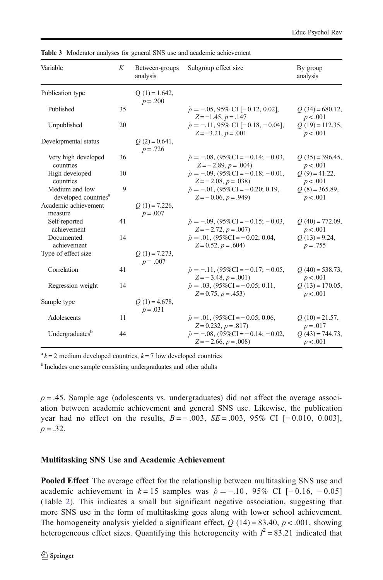| Variable                                           | Κ  | Between-groups<br>analysis     | Subgroup effect size                                                       | By group<br>analysis            |
|----------------------------------------------------|----|--------------------------------|----------------------------------------------------------------------------|---------------------------------|
| Publication type                                   |    | $Q(1) = 1.642$ ,<br>$p = .200$ |                                                                            |                                 |
| Published                                          | 35 |                                | $\hat{\rho} = -.05,95\% \text{ CI} [-0.12,0.02],$<br>$Z = -1.45, p = .147$ | $Q(34) = 680.12$ ,<br>p < .001  |
| Unpublished                                        | 20 |                                | $\hat{\rho} = -11,95\% \text{ CI} [-0.18, -0.04],$<br>$Z=-3.21, p=.001$    | $Q(19) = 112.35$ ,<br>p < .001  |
| Developmental status                               |    | $Q(2)=0.641$ ,<br>$p = .726$   |                                                                            |                                 |
| Very high developed<br>countries                   | 36 |                                | $\hat{\rho} = -.08$ , $(95\%CI = -0.14; -0.03, )$<br>$Z=-2.89, p=.004$     | $Q(35) = 396.45$ ,<br>p < .001  |
| High developed<br>countries                        | 10 |                                | $\hat{\rho} = -.09, (95\%CI = -0.18; -0.01,$<br>$Z=-2.08, p=.038$          | $Q(9) = 41.22$<br>p < .001      |
| Medium and low<br>developed countries <sup>a</sup> | 9  |                                | $\hat{\rho} = -.01$ , (95\%CI = -0.20; 0.19,<br>$Z=-0.06, p=.949$          | $Q(8) = 365.89,$<br>p < .001    |
| Academic achievement<br>measure                    |    | $Q(1) = 7.226$ ,<br>$p = .007$ |                                                                            |                                 |
| Self-reported<br>achievement                       | 41 |                                | $\hat{\rho} = -.09, (95\%CI = -0.15; -0.03,$<br>$Z=-2.72, p=.007$          | $Q(40) = 772.09$ ,<br>p < .001  |
| Documented<br>achievement                          | 14 |                                | $\hat{\rho} = .01, (95\%CI = -0.02; 0.04,$<br>$Z = 0.52, p = .604$         | $Q(13) = 9.24$ ,<br>$p = .755$  |
| Type of effect size                                |    | $Q(1) = 7.273$ ,<br>$p = .007$ |                                                                            |                                 |
| Correlation                                        | 41 |                                | $\hat{\rho} = -.11, (95\%CI = -0.17; -0.05,$<br>$Z=-3.48, p=.001$          | $Q(40) = 538.73$ ,<br>p < .001  |
| Regression weight                                  | 14 |                                | $\hat{\rho} = .03, (95\%CI = -0.05; 0.11,$<br>$Z = 0.75$ , $p = .453$ )    | $Q(13) = 170.05$ ,<br>p < .001  |
| Sample type                                        |    | $Q(1) = 4.678$ ,<br>$p = .031$ |                                                                            |                                 |
| Adolescents                                        | 11 |                                | $\hat{\rho} = .01, (95\%CI = -0.05; 0.06,$<br>$Z = 0.232, p = .817$        | $Q(10) = 21.57$ ,<br>$p = .017$ |
| Undergraduates <sup>b</sup>                        | 44 |                                | $\hat{\rho} = -.08, (95\%CI = -0.14; -0.02,$<br>$Z = -2.66, p = .008$      | $Q(43) = 744.73$ ,<br>p < .001  |

<span id="page-13-0"></span>Table 3 Moderator analyses for general SNS use and academic achievement

 $a^k k = 2$  medium developed countries,  $k = 7$  low developed countries

<sup>b</sup> Includes one sample consisting undergraduates and other adults

 $p = .45$ . Sample age (adolescents vs. undergraduates) did not affect the average association between academic achievement and general SNS use. Likewise, the publication year had no effect on the results,  $B = -0.003$ ,  $SE = 0.003$ ,  $95\%$  CI [-0.010, 0.003],  $p = .32.$ 

### Multitasking SNS Use and Academic Achievement

Pooled Effect The average effect for the relationship between multitasking SNS use and academic achievement in  $k = 15$  samples was  $\hat{p} = -.10$ , 95% CI [− 0.16, − 0.05] (Table [2](#page-12-0)). This indicates a small but significant negative association, suggesting that more SNS use in the form of multitasking goes along with lower school achievement. The homogeneity analysis yielded a significant effect,  $Q(14) = 83.40$ ,  $p < .001$ , showing heterogeneous effect sizes. Quantifying this heterogeneity with  $I^2 = 83.21$  indicated that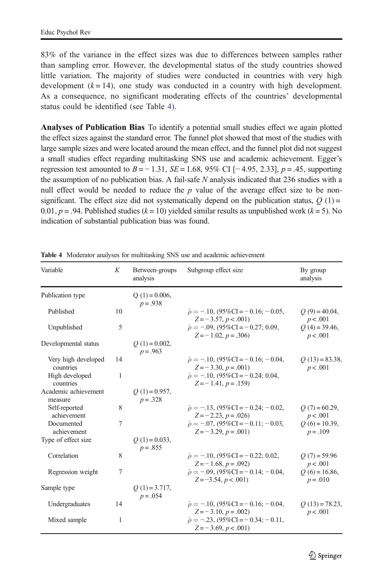<span id="page-14-0"></span>83% of the variance in the effect sizes was due to differences between samples rather than sampling error. However, the developmental status of the study countries showed little variation. The majority of studies were conducted in countries with very high development  $(k = 14)$ , one study was conducted in a country with high development. As a consequence, no significant moderating effects of the countries' developmental status could be identified (see Table 4).

Analyses of Publication Bias To identify a potential small studies effect we again plotted the effect sizes against the standard error. The funnel plot showed that most of the studies with large sample sizes and were located around the mean effect, and the funnel plot did not suggest a small studies effect regarding multitasking SNS use and academic achievement. Egger's regression test amounted to  $B = -1.31$ ,  $SE = 1.68$ ,  $95\%$  CI [ $-4.95$ , 2.33],  $p = .45$ , supporting the assumption of no publication bias. A fail-safe  $N$  analysis indicated that 236 studies with a null effect would be needed to reduce the  $p$  value of the average effect size to be nonsignificant. The effect size did not systematically depend on the publication status,  $Q(1)$  = 0.01,  $p = 0.94$ . Published studies ( $k = 10$ ) yielded similar results as unpublished work ( $k = 5$ ). No indication of substantial publication bias was found.

| Variable                         | K  | Between-groups<br>analysis     | Subgroup effect size                                                      | By group<br>analysis           |
|----------------------------------|----|--------------------------------|---------------------------------------------------------------------------|--------------------------------|
| Publication type                 |    | $Q(1) = 0.006$ ,<br>$p = .938$ |                                                                           |                                |
| Published                        | 10 |                                | $\hat{\rho} = -.10$ , $(95\%CI = -0.16; -0.05,$<br>$Z = -3.57, p < .001$  | $Q(9) = 40.04$ ,<br>p < .001   |
| Unpublished                      | 5  |                                | $\hat{\rho} = -.09, (95\%CI = -0.27; 0.09,$<br>$Z=-1.02, p=.306$          | $Q(4) = 39.46$ ,<br>p < .001   |
| Developmental status             |    | $Q(1) = 0.002$ ,<br>$p = .963$ |                                                                           |                                |
| Very high developed<br>countries | 14 |                                | $\hat{\rho} = -.10$ , $(95\%CI = -0.16; -0.04)$ ,<br>$Z=-3.30, p=.001$    | $Q(13) = 83.38$ ,<br>p < .001  |
| High developed<br>countries      | 1  |                                | $\hat{\rho} = -.10$ , (95\%CI = -0.24; 0.04,<br>$Z=-1.41, p=.159$         |                                |
| Academic achievement<br>measure  |    | $Q(1) = 0.957$ ,<br>$p = .328$ |                                                                           |                                |
| Self-reported<br>achievement     | 8  |                                | $\hat{\rho} = -.13$ , (95%CI = -0.24; -0.02,<br>$Z=-2.23, p=.026$         | $Q(7) = 60.29$ ,<br>p < .001   |
| Documented<br>achievement        | 7  |                                | $\hat{\rho} = -.07$ , (95\%CI = -0.11; -0.03,<br>$Z=-3.29, p=.001$        | $Q(6) = 10.39$ ,<br>$p = .109$ |
| Type of effect size              |    | $Q(1) = 0.033$ ,<br>$p = .855$ |                                                                           |                                |
| Correlation                      | 8  |                                | $\hat{\rho} = -.10, (95\%CI = -0.22; 0.02,$<br>$Z=-1.68, p=.092$          | $Q(7) = 59.96$<br>p < .001     |
| Regression weight                | 7  |                                | $\hat{\rho} = -0.09$ , $(95\%CI = -0.14; -0.04)$<br>$Z = -3.54, p < .001$ | $Q(6) = 16.86$ ,<br>$p = .010$ |
| Sample type                      |    | $Q(1) = 3.717$ ,<br>$p = .054$ |                                                                           |                                |
| Undergraduates                   | 14 |                                | $\hat{\rho} = -.10$ , $(95\%CI = -0.16; -0.04)$ ,<br>$Z=-3.10, p=.002$    | $Q(13) = 78.23$ ,<br>p < .001  |
| Mixed sample                     | 1  |                                | $\hat{\rho} = -.23$ , (95%CI = -0.34; -0.11,<br>$Z=-3.69, p<.001$         |                                |

Table 4 Moderator analyses for multitasking SNS use and academic achievement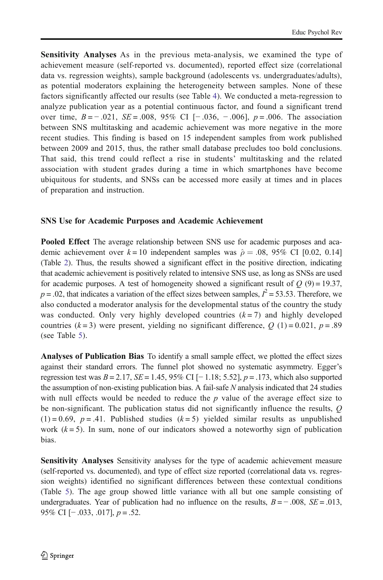Sensitivity Analyses As in the previous meta-analysis, we examined the type of achievement measure (self-reported vs. documented), reported effect size (correlational data vs. regression weights), sample background (adolescents vs. undergraduates/adults), as potential moderators explaining the heterogeneity between samples. None of these factors significantly affected our results (see Table [4](#page-14-0)). We conducted a meta-regression to analyze publication year as a potential continuous factor, and found a significant trend over time,  $B = -0.021$ ,  $SE = 0.008$ , 95% CI [− .036, − .006], p = .006. The association between SNS multitasking and academic achievement was more negative in the more recent studies. This finding is based on 15 independent samples from work published between 2009 and 2015, thus, the rather small database precludes too bold conclusions. That said, this trend could reflect a rise in students' multitasking and the related association with student grades during a time in which smartphones have become ubiquitous for students, and SNSs can be accessed more easily at times and in places of preparation and instruction.

### SNS Use for Academic Purposes and Academic Achievement

Pooled Effect The average relationship between SNS use for academic purposes and academic achievement over  $k = 10$  independent samples was  $\hat{\rho} = .08, 95\%$  CI [0.02, 0.14] (Table [2](#page-12-0)). Thus, the results showed a significant effect in the positive direction, indicating that academic achievement is positively related to intensive SNS use, as long as SNSs are used for academic purposes. A test of homogeneity showed a significant result of  $Q(9) = 19.37$ ,  $p = .02$ , that indicates a variation of the effect sizes between samples,  $l^2 = 53.53$ . Therefore, we also conducted a moderator analysis for the developmental status of the country the study was conducted. Only very highly developed countries  $(k=7)$  and highly developed countries  $(k=3)$  were present, yielding no significant difference, Q (1) = 0.021, p = .89 (see Table [5\)](#page-16-0).

Analyses of Publication Bias To identify a small sample effect, we plotted the effect sizes against their standard errors. The funnel plot showed no systematic asymmetry. Egger's regression test was  $B = 2.17$ ,  $SE = 1.45$ , 95% CI [− 1.18; 5.52],  $p = .173$ , which also supported the assumption of non-existing publication bias. A fail-safe N analysis indicated that 24 studies with null effects would be needed to reduce the  $p$  value of the average effect size to be non-significant. The publication status did not significantly influence the results,  $\ddot{O}$  $(1) = 0.69$ ,  $p = .41$ . Published studies  $(k = 5)$  yielded similar results as unpublished work  $(k=5)$ . In sum, none of our indicators showed a noteworthy sign of publication bias.

Sensitivity Analyses Sensitivity analyses for the type of academic achievement measure (self-reported vs. documented), and type of effect size reported (correlational data vs. regression weights) identified no significant differences between these contextual conditions (Table [5\)](#page-16-0). The age group showed little variance with all but one sample consisting of undergraduates. Year of publication had no influence on the results,  $B = -0.008$ ,  $SE = 0.013$ , 95% CI [−.033, .017], *p* = .52.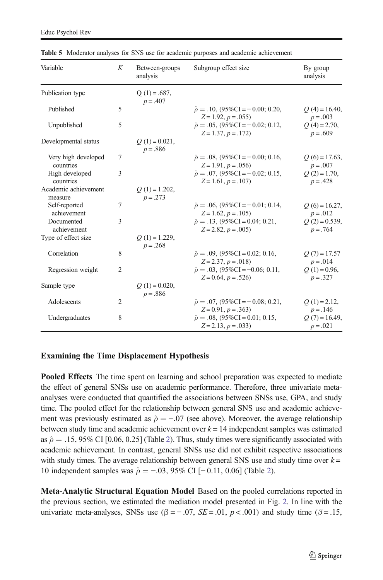| Variable                         | K              | Between-groups<br>analysis     | Subgroup effect size                                               | By group<br>analysis           |
|----------------------------------|----------------|--------------------------------|--------------------------------------------------------------------|--------------------------------|
| Publication type                 |                | $Q(1) = .687$ ,<br>$p = .407$  |                                                                    |                                |
| Published                        | 5              |                                | $\hat{\rho} = .10, (95\%CI = -0.00; 0.20,$<br>$Z = 1.92, p = .055$ | $Q(4) = 16.40$ ,<br>$p = .003$ |
| Unpublished                      | 5              |                                | $\hat{\rho} = .05$ , (95%CI = -0.02; 0.12,<br>$Z = 1.37, p = .172$ | $Q(4) = 2.70$ ,<br>$p = .609$  |
| Developmental status             |                | $Q(1) = 0.021$ ,<br>$p = .886$ |                                                                    |                                |
| Very high developed<br>countries | 7              |                                | $\hat{\rho} = .08, (95\%CI = -0.00; 0.16,$<br>$Z = 1.91, p = .056$ | $Q(6) = 17.63$ ,<br>$p = .007$ |
| High developed<br>countries      | 3              |                                | $\hat{\rho} = .07, (95\%CI = -0.02; 0.15,$<br>$Z = 1.61, p = .107$ | $Q(2) = 1.70$ ,<br>$p = .428$  |
| Academic achievement<br>measure  |                | $Q(1) = 1.202$ ,<br>$p = .273$ |                                                                    |                                |
| Self-reported<br>achievement     | 7              |                                | $\hat{\rho} = .06$ , (95%CI = -0.01; 0.14,<br>$Z = 1.62, p = .105$ | $Q(6) = 16.27$ ,<br>$p = .012$ |
| Documented<br>achievement        | 3              |                                | $\hat{\rho} = .13, (95\%CI = 0.04; 0.21,$<br>$Z = 2.82, p = .005$  | $Q(2) = 0.539$ ,<br>$p = .764$ |
| Type of effect size              |                | $Q(1) = 1.229$ ,<br>$p = .268$ |                                                                    |                                |
| Correlation                      | 8              |                                | $\hat{\rho} = .09$ , (95%CI = 0.02; 0.16,<br>$Z = 2.37, p = .018$  | $Q(7) = 17.57$<br>$p = .014$   |
| Regression weight                | $\overline{2}$ |                                | $\hat{\rho} = .03, (95\%CI = -0.06; 0.11,$<br>$Z = 0.64, p = .526$ | $Q(1) = 0.96$ ,<br>$p = .327$  |
| Sample type                      |                | $Q(1) = 0.020$ ,<br>$p = .886$ |                                                                    |                                |
| Adolescents                      | $\overline{2}$ |                                | $\hat{\rho} = .07, (95\%CI = -0.08; 0.21,$<br>$Z = 0.91, p = .363$ | $Q(1) = 2.12$ ,<br>$p = .146$  |
| Undergraduates                   | 8              |                                | $\hat{\rho} = .08$ , (95%CI = 0.01; 0.15,<br>$Z = 2.13, p = .033$  | $Q(7) = 16.49$ ,<br>$p = .021$ |

Table 5 Moderator analyses for SNS use for academic purposes and academic achievement

<span id="page-16-0"></span>Educ Psychol Rev

#### Examining the Time Displacement Hypothesis

Pooled Effects The time spent on learning and school preparation was expected to mediate the effect of general SNSs use on academic performance. Therefore, three univariate metaanalyses were conducted that quantified the associations between SNSs use, GPA, and study time. The pooled effect for the relationship between general SNS use and academic achievement was previously estimated as  $\hat{\rho} = -.07$  (see above). Moreover, the average relationship between study time and academic achievement over  $k = 14$  independent samples was estimated as  $\hat{\rho} = .15, 95\%$  CI [0.06, 0.[2](#page-12-0)5] (Table 2). Thus, study times were significantly associated with academic achievement. In contrast, general SNSs use did not exhibit respective associations with study times. The average relationship between general SNS use and study time over  $k =$ 10 independent samples was  $\hat{\rho} = -.03, 95\%$  CI [− 0.11, 0.06] (Table [2](#page-12-0)).

Meta-Analytic Structural Equation Model Based on the pooled correlations reported in the previous section, we estimated the mediation model presented in Fig. [2](#page-17-0). In line with the univariate meta-analyses, SNSs use ( $\beta = -0.07$ ,  $SE = 0.01$ ,  $p < 0.001$ ) and study time ( $\beta = 0.15$ ,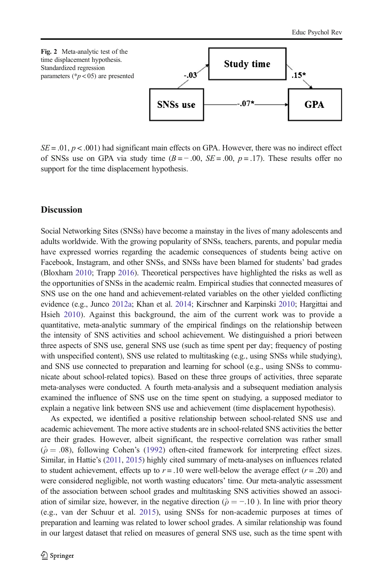<span id="page-17-0"></span>

 $SE = .01$ ,  $p < .001$ ) had significant main effects on GPA. However, there was no indirect effect of SNSs use on GPA via study time  $(B = -0.00, SE = 0.00, p = 0.17)$ . These results offer no support for the time displacement hypothesis.

# Discussion

Social Networking Sites (SNSs) have become a mainstay in the lives of many adolescents and adults worldwide. With the growing popularity of SNSs, teachers, parents, and popular media have expressed worries regarding the academic consequences of students being active on Facebook, Instagram, and other SNSs, and SNSs have been blamed for students' bad grades (Bloxham [2010](#page-21-0); Trapp [2016](#page-25-0)). Theoretical perspectives have highlighted the risks as well as the opportunities of SNSs in the academic realm. Empirical studies that connected measures of SNS use on the one hand and achievement-related variables on the other yielded conflicting evidence (e.g., Junco [2012a](#page-23-0); Khan et al. [2014;](#page-23-0) Kirschner and Karpinski [2010](#page-23-0); Hargittai and Hsieh [2010](#page-22-0)). Against this background, the aim of the current work was to provide a quantitative, meta-analytic summary of the empirical findings on the relationship between the intensity of SNS activities and school achievement. We distinguished a priori between three aspects of SNS use, general SNS use (such as time spent per day; frequency of posting with unspecified content), SNS use related to multitasking (e.g., using SNSs while studying), and SNS use connected to preparation and learning for school (e.g., using SNSs to communicate about school-related topics). Based on these three groups of activities, three separate meta-analyses were conducted. A fourth meta-analysis and a subsequent mediation analysis examined the influence of SNS use on the time spent on studying, a supposed mediator to explain a negative link between SNS use and achievement (time displacement hypothesis).

As expected, we identified a positive relationship between school-related SNS use and academic achievement. The more active students are in school-related SNS activities the better are their grades. However, albeit significant, the respective correlation was rather small  $(\hat{\rho} = .08)$ , following Cohen's ([1992\)](#page-21-0) often-cited framework for interpreting effect sizes. Similar, in Hattie's [\(2011,](#page-22-0) [2015](#page-22-0)) highly cited summary of meta-analyses on influences related to student achievement, effects up to  $r = .10$  were well-below the average effect ( $r = .20$ ) and were considered negligible, not worth wasting educators' time. Our meta-analytic assessment of the association between school grades and multitasking SNS activities showed an association of similar size, however, in the negative direction ( $\hat{\rho} = -.10$ ). In line with prior theory (e.g., van der Schuur et al. [2015](#page-25-0)), using SNSs for non-academic purposes at times of preparation and learning was related to lower school grades. A similar relationship was found in our largest dataset that relied on measures of general SNS use, such as the time spent with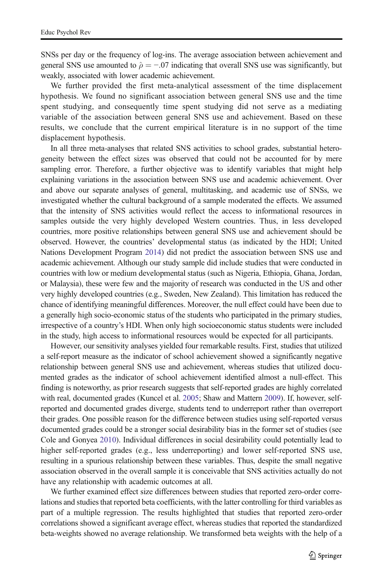SNSs per day or the frequency of log-ins. The average association between achievement and general SNS use amounted to  $\hat{\rho} = -0.07$  indicating that overall SNS use was significantly, but weakly, associated with lower academic achievement.

We further provided the first meta-analytical assessment of the time displacement hypothesis. We found no significant association between general SNS use and the time spent studying, and consequently time spent studying did not serve as a mediating variable of the association between general SNS use and achievement. Based on these results, we conclude that the current empirical literature is in no support of the time displacement hypothesis.

In all three meta-analyses that related SNS activities to school grades, substantial heterogeneity between the effect sizes was observed that could not be accounted for by mere sampling error. Therefore, a further objective was to identify variables that might help explaining variations in the association between SNS use and academic achievement. Over and above our separate analyses of general, multitasking, and academic use of SNSs, we investigated whether the cultural background of a sample moderated the effects. We assumed that the intensity of SNS activities would reflect the access to informational resources in samples outside the very highly developed Western countries. Thus, in less developed countries, more positive relationships between general SNS use and achievement should be observed. However, the countries' developmental status (as indicated by the HDI; United Nations Development Program [2014](#page-25-0)) did not predict the association between SNS use and academic achievement. Although our study sample did include studies that were conducted in countries with low or medium developmental status (such as Nigeria, Ethiopia, Ghana, Jordan, or Malaysia), these were few and the majority of research was conducted in the US and other very highly developed countries (e.g., Sweden, New Zealand). This limitation has reduced the chance of identifying meaningful differences. Moreover, the null effect could have been due to a generally high socio-economic status of the students who participated in the primary studies, irrespective of a country's HDI. When only high socioeconomic status students were included in the study, high access to informational resources would be expected for all participants.

However, our sensitivity analyses yielded four remarkable results. First, studies that utilized a self-report measure as the indicator of school achievement showed a significantly negative relationship between general SNS use and achievement, whereas studies that utilized documented grades as the indicator of school achievement identified almost a null-effect. This finding is noteworthy, as prior research suggests that self-reported grades are highly correlated with real, documented grades (Kuncel et al. [2005](#page-23-0); Shaw and Mattern [2009](#page-25-0)). If, however, selfreported and documented grades diverge, students tend to underreport rather than overreport their grades. One possible reason for the difference between studies using self-reported versus documented grades could be a stronger social desirability bias in the former set of studies (see Cole and Gonyea [2010](#page-21-0)). Individual differences in social desirability could potentially lead to higher self-reported grades (e.g., less underreporting) and lower self-reported SNS use, resulting in a spurious relationship between these variables. Thus, despite the small negative association observed in the overall sample it is conceivable that SNS activities actually do not have any relationship with academic outcomes at all.

We further examined effect size differences between studies that reported zero-order correlations and studies that reported beta coefficients, with the latter controlling for third variables as part of a multiple regression. The results highlighted that studies that reported zero-order correlations showed a significant average effect, whereas studies that reported the standardized beta-weights showed no average relationship. We transformed beta weights with the help of a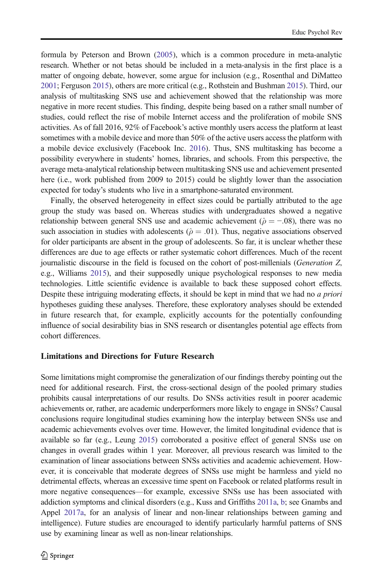formula by Peterson and Brown ([2005](#page-24-0)), which is a common procedure in meta-analytic research. Whether or not betas should be included in a meta-analysis in the first place is a matter of ongoing debate, however, some argue for inclusion (e.g., Rosenthal and DiMatteo [2001](#page-25-0); Ferguson [2015\)](#page-22-0), others are more critical (e.g., Rothstein and Bushman [2015\)](#page-25-0). Third, our analysis of multitasking SNS use and achievement showed that the relationship was more negative in more recent studies. This finding, despite being based on a rather small number of studies, could reflect the rise of mobile Internet access and the proliferation of mobile SNS activities. As of fall 2016, 92% of Facebook's active monthly users access the platform at least sometimes with a mobile device and more than 50% of the active users access the platform with a mobile device exclusively (Facebook Inc. [2016](#page-22-0)). Thus, SNS multitasking has become a possibility everywhere in students' homes, libraries, and schools. From this perspective, the average meta-analytical relationship between multitasking SNS use and achievement presented here (i.e., work published from 2009 to 2015) could be slightly lower than the association expected for today's students who live in a smartphone-saturated environment.

Finally, the observed heterogeneity in effect sizes could be partially attributed to the age group the study was based on. Whereas studies with undergraduates showed a negative relationship between general SNS use and academic achievement ( $\hat{\rho} = -.08$ ), there was no such association in studies with adolescents ( $\hat{\rho} = .01$ ). Thus, negative associations observed for older participants are absent in the group of adolescents. So far, it is unclear whether these differences are due to age effects or rather systematic cohort differences. Much of the recent journalistic discourse in the field is focused on the cohort of post-millenials (Generation Z, e.g., Williams [2015](#page-25-0)), and their supposedly unique psychological responses to new media technologies. Little scientific evidence is available to back these supposed cohort effects. Despite these intriguing moderating effects, it should be kept in mind that we had no a priori hypotheses guiding these analyses. Therefore, these exploratory analyses should be extended in future research that, for example, explicitly accounts for the potentially confounding influence of social desirability bias in SNS research or disentangles potential age effects from cohort differences.

#### Limitations and Directions for Future Research

Some limitations might compromise the generalization of our findings thereby pointing out the need for additional research. First, the cross-sectional design of the pooled primary studies prohibits causal interpretations of our results. Do SNSs activities result in poorer academic achievements or, rather, are academic underperformers more likely to engage in SNSs? Causal conclusions require longitudinal studies examining how the interplay between SNSs use and academic achievements evolves over time. However, the limited longitudinal evidence that is available so far (e.g., Leung [2015\)](#page-23-0) corroborated a positive effect of general SNSs use on changes in overall grades within 1 year. Moreover, all previous research was limited to the examination of linear associations between SNSs activities and academic achievement. However, it is conceivable that moderate degrees of SNSs use might be harmless and yield no detrimental effects, whereas an excessive time spent on Facebook or related platforms result in more negative consequences—for example, excessive SNSs use has been associated with addiction symptoms and clinical disorders (e.g., Kuss and Griffiths [2011a,](#page-23-0) [b;](#page-23-0) see Gnambs and Appel [2017a](#page-22-0), for an analysis of linear and non-linear relationships between gaming and intelligence). Future studies are encouraged to identify particularly harmful patterns of SNS use by examining linear as well as non-linear relationships.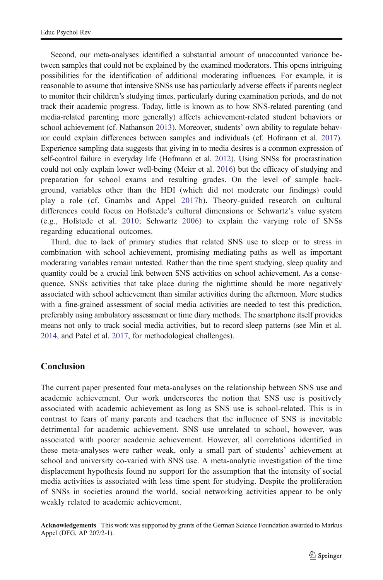Second, our meta-analyses identified a substantial amount of unaccounted variance between samples that could not be explained by the examined moderators. This opens intriguing possibilities for the identification of additional moderating influences. For example, it is reasonable to assume that intensive SNSs use has particularly adverse effects if parents neglect to monitor their children's studying times, particularly during examination periods, and do not track their academic progress. Today, little is known as to how SNS-related parenting (and media-related parenting more generally) affects achievement-related student behaviors or school achievement (cf. Nathanson [2013](#page-24-0)). Moreover, students' own ability to regulate behavior could explain differences between samples and individuals (cf. Hofmann et al. [2017](#page-22-0)). Experience sampling data suggests that giving in to media desires is a common expression of self-control failure in everyday life (Hofmann et al. [2012](#page-22-0)). Using SNSs for procrastination could not only explain lower well-being (Meier et al. [2016](#page-23-0)) but the efficacy of studying and preparation for school exams and resulting grades. On the level of sample background, variables other than the HDI (which did not moderate our findings) could play a role (cf. Gnambs and Appel [2017b\)](#page-22-0). Theory-guided research on cultural differences could focus on Hofstede's cultural dimensions or Schwartz's value system (e.g., Hofstede et al. [2010](#page-22-0); Schwartz [2006](#page-25-0)) to explain the varying role of SNSs regarding educational outcomes.

Third, due to lack of primary studies that related SNS use to sleep or to stress in combination with school achievement, promising mediating paths as well as important moderating variables remain untested. Rather than the time spent studying, sleep quality and quantity could be a crucial link between SNS activities on school achievement. As a consequence, SNSs activities that take place during the nighttime should be more negatively associated with school achievement than similar activities during the afternoon. More studies with a fine-grained assessment of social media activities are needed to test this prediction, preferably using ambulatory assessment or time diary methods. The smartphone itself provides means not only to track social media activities, but to record sleep patterns (see Min et al. [2014](#page-24-0), and Patel et al. [2017,](#page-24-0) for methodological challenges).

# Conclusion

The current paper presented four meta-analyses on the relationship between SNS use and academic achievement. Our work underscores the notion that SNS use is positively associated with academic achievement as long as SNS use is school-related. This is in contrast to fears of many parents and teachers that the influence of SNS is inevitable detrimental for academic achievement. SNS use unrelated to school, however, was associated with poorer academic achievement. However, all correlations identified in these meta-analyses were rather weak, only a small part of students' achievement at school and university co-varied with SNS use. A meta-analytic investigation of the time displacement hypothesis found no support for the assumption that the intensity of social media activities is associated with less time spent for studying. Despite the proliferation of SNSs in societies around the world, social networking activities appear to be only weakly related to academic achievement.

Acknowledgements This work was supported by grants of the German Science Foundation awarded to Markus Appel (DFG, AP 207/2-1).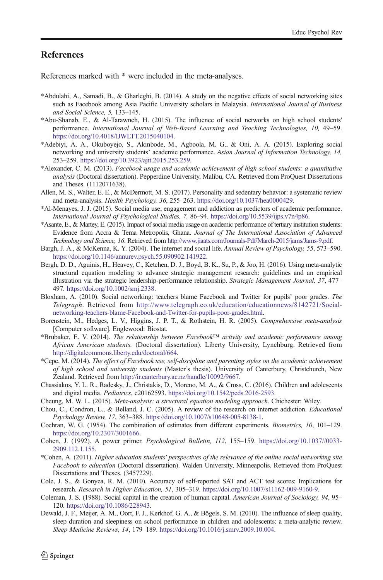### <span id="page-21-0"></span>**References**

References marked with \* were included in the meta-analyses.

- \*Abdulahi, A., Samadi, B., & Gharleghi, B. (2014). A study on the negative effects of social networking sites such as Facebook among Asia Pacific University scholars in Malaysia. *International Journal of Business* and Social Science, 5, 133–145.
- \*Abu-Shanab, E., & Al-Tarawneh, H. (2015). The influence of social networks on high school students' performance. International Journal of Web-Based Learning and Teaching Technologies, 10, 49–59. <https://doi.org/10.4018/IJWLTT.2015040104>.
- \*Adebiyi, A. A., Okuboyejo, S., Akinbode, M., Agboola, M. G., & Oni, A. A. (2015). Exploring social networking and university students' academic performance. Asian Journal of Information Technology, 14, 253–259. <https://doi.org/10.3923/ajit.2015.253.259>.
- \*Alexander, C. M. (2013). Facebook usage and academic achievement of high school students: a quantitative analysis (Doctoral dissertation). Pepperdine University, Malibu, CA. Retrieved from ProQuest Dissertations and Theses. (1112071638).
- Allen, M. S., Walter, E. E., & McDermott, M. S. (2017). Personality and sedentary behavior: a systematic review and meta-analysis. Health Psychology, 36, 255–263. <https://doi.org/10.1037/hea0000429>.
- \*Al-Menayes, J. J. (2015). Social media use, engagement and addiction as predictors of academic performance. International Journal of Psychological Studies, 7, 86–94. [https://doi.org/10.5539/ijps.v7n4p86.](https://doi.org/10.5539/ijps.v7n4p86)
- \*Asante, E., & Martey, E. (2015). Impact of social media usage on academic performance of tertiary institution students: Evidence from Accra & Tema Metropolis, Ghana. Journal of The International Association of Advanced Technology and Science, 16. Retrieved from <http://www.jiaats.com/Journals-Pdf/March-2015/jams/Jams-9.pdf>.
- Bargh, J. A., & McKenna, K. Y. (2004). The internet and social life. Annual Review of Psychology, 55, 573–590. <https://doi.org/10.1146/annurev.psych.55.090902.141922>.
- Bergh, D. D., Aguinis, H., Heavey, C., Ketchen, D. J., Boyd, B. K., Su, P., & Joo, H. (2016). Using meta-analytic structural equation modeling to advance strategic management research: guidelines and an empirical illustration via the strategic leadership-performance relationship. Strategic Management Journal, 37, 477-497. <https://doi.org/10.1002/smj.2338>.
- Bloxham, A. (2010). Social networking: teachers blame Facebook and Twitter for pupils' poor grades. The Telegraph. Retrieved from [http://www.telegraph.co.uk/education/educationnews/8142721/Social](http://www.telegraph.co.uk/education/educationnews/8142721/Social-networking-teachers-blame-Facebook-and-Twitter-for-pupils-poor-grades.html)[networking-teachers-blame-Facebook-and-Twitter-for-pupils-poor-grades.html](http://www.telegraph.co.uk/education/educationnews/8142721/Social-networking-teachers-blame-Facebook-and-Twitter-for-pupils-poor-grades.html).
- Borenstein, M., Hedges, L. V., Higgins, J. P. T., & Rothstein, H. R. (2005). Comprehensive meta-analysis [Computer software]. Englewood: Biostat.
- \*Brubaker, E. V. (2014). The relationship between Facebook™ activity and academic performance among African American students. (Doctoral dissertation). Liberty University, Lynchburg. Retrieved from [http://digitalcommons.liberty.edu/doctoral/664.](http://digitalcommons.liberty.edu/doctoral/664)
- \*Cepe, M. (2014). The effect of Facebook use, self-discipline and parenting styles on the academic achievement of high school and university students (Master's thesis). University of Canterbury, Christchurch, New Zealand. Retrieved from <http://ir.canterbury.ac.nz/handle/10092/9667>.
- Chassiakos, Y. L. R., Radesky, J., Christakis, D., Moreno, M. A., & Cross, C. (2016). Children and adolescents and digital media. Pediatrics, e20162593. [https://doi.org/10.1542/peds.2016-2593.](https://doi.org/10.1542/peds.2016-2593)
- Cheung, M. W. L. (2015). Meta-analysis: a structural equation modeling approach. Chichester: Wiley.
- Chou, C., Condron, L., & Belland, J. C. (2005). A review of the research on internet addiction. Educational Psychology Review, 17, 363–388. <https://doi.org/10.1007/s10648-005-8138-1>.
- Cochran, W. G. (1954). The combination of estimates from different experiments. Biometrics, 10, 101–129. [https://doi.org/10.2307/3001666.](https://doi.org/10.2307/3001666)
- Cohen, J. (1992). A power primer. Psychological Bulletin, 112, 155–159. [https://doi.org/10.1037//0033-](https://doi.org/10.1037//0033-2909.112.1.155) [2909.112.1.155.](https://doi.org/10.1037//0033-2909.112.1.155)
- \*Cohen, A. (2011). Higher education students' perspectives of the relevance of the online social networking site Facebook to education (Doctoral dissertation). Walden University, Minneapolis. Retrieved from ProQuest Dissertations and Theses. (3457229).
- Cole, J. S., & Gonyea, R. M. (2010). Accuracy of self-reported SAT and ACT test scores: Implications for research. Research in Higher Education, 51, 305–319. [https://doi.org/10.1007/s11162-009-9160-9.](https://doi.org/10.1007/s11162-009-9160-9)
- Coleman, J. S. (1988). Social capital in the creation of human capital. American Journal of Sociology, 94, 95– 120. [https://doi.org/10.1086/228943.](https://doi.org/10.1086/228943)
- Dewald, J. F., Meijer, A. M., Oort, F. J., Kerkhof, G. A., & Bögels, S. M. (2010). The influence of sleep quality, sleep duration and sleepiness on school performance in children and adolescents: a meta-analytic review. Sleep Medicine Reviews, 14, 179–189. [https://doi.org/10.1016/j.smrv.2009.10.004.](https://doi.org/10.1016/j.smrv.2009.10.004)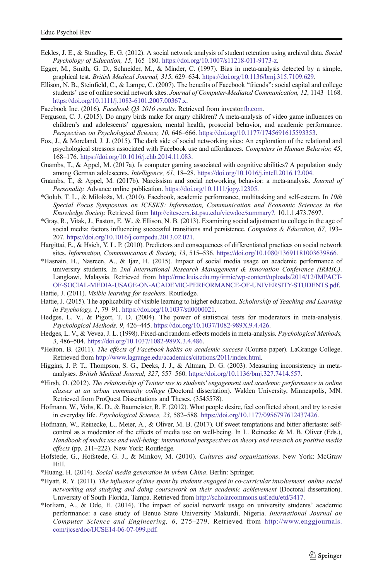- <span id="page-22-0"></span>Eckles, J. E., & Stradley, E. G. (2012). A social network analysis of student retention using archival data. Social Psychology of Education, 15, 165–180. [https://doi.org/10.1007/s11218-011-9173-z.](https://doi.org/10.1007/s11218-011-9173-z)
- Egger, M., Smith, G. D., Schneider, M., & Minder, C. (1997). Bias in meta-analysis detected by a simple, graphical test. British Medical Journal, 315, 629–634. <https://doi.org/10.1136/bmj.315.7109.629>.
- Ellison, N. B., Steinfield, C., & Lampe, C. (2007). The benefits of Facebook "friends": social capital and college students' use of online social network sites. Journal of Computer-Mediated Communication, 12, 1143–1168. [https://doi.org/10.1111/j.1083-6101.2007.00367.x.](https://doi.org/10.1111/j.1083-6101.2007.00367.x)
- Facebook Inc. (2016). Facebook Q3 2016 results. Retrieved from investor.[fb.com](http://fb.com).
- Ferguson, C. J. (2015). Do angry birds make for angry children? A meta-analysis of video game influences on children's and adolescents' aggression, mental health, prosocial behavior, and academic performance. Perspectives on Psychological Science, 10, 646–666. <https://doi.org/10.1177/1745691615593353>.
- Fox, J., & Moreland, J. J. (2015). The dark side of social networking sites: An exploration of the relational and psychological stressors associated with Facebook use and affordances. Computers in Human Behavior, 45, 168–176. [https://doi.org/10.1016/j.chb.2014.11.083.](https://doi.org/10.1016/j.chb.2014.11.083)
- Gnambs, T., & Appel, M. (2017a). Is computer gaming associated with cognitive abilities? A population study among German adolescents. Intelligence, 61, 18-28. <https://doi.org/10.1016/j.intell.2016.12.004>.
- Gnambs, T., & Appel, M. (2017b). Narcissism and social networking behavior: a meta-analysis. *Journal of* Personality. Advance online publication. <https://doi.org/10.1111/jopy.12305>.
- \*Golub, T. L., & Miloloža, M. (2010). Facebook, academic performance, multitasking and self-esteem. In 10th Special Focus Symposium on ICESKS: Information, Communication and Economic Sciences in the Knowledge Society. Retrieved from <http://citeseerx.ist.psu.edu/viewdoc/summary?>. 10.1.1.473.7697.
- \*Gray, R., Vitak, J., Easton, E. W., & Ellison, N. B. (2013). Examining social adjustment to college in the age of social media: factors influencing successful transitions and persistence. Computers & Education, 67, 193– 207. <https://doi.org/10.1016/j.compedu.2013.02.021>.
- Hargittai, E., & Hsieh, Y. L. P. (2010). Predictors and consequences of differentiated practices on social network sites. Information, Communication & Society, 13, 515–536. <https://doi.org/10.1080/13691181003639866>.
- \*Hasnain, H., Nasreen, A., & Ijaz, H. (2015). Impact of social media usage on academic performance of university students. In 2nd International Research Management & Innovation Conference (IRMIC). Langkawi, Malaysia. Retrieved from [http://rmc.kuis.edu.my/irmic/wp-content/uploads/2014/12/IMPACT-](http://rmc.kuis.edu.my/irmic/wp-content/uploads/2014/12/IMPACT-OF-SOCIAL-MEDIA-USAGE-ON-ACADEMIC-PERFORMANCE-OF-UNIVERSITY-STUDENTS.pdf)[OF-SOCIAL-MEDIA-USAGE-ON-ACADEMIC-PERFORMANCE-OF-UNIVERSITY-STUDENTS.pdf.](http://rmc.kuis.edu.my/irmic/wp-content/uploads/2014/12/IMPACT-OF-SOCIAL-MEDIA-USAGE-ON-ACADEMIC-PERFORMANCE-OF-UNIVERSITY-STUDENTS.pdf)
- Hattie, J. (2011). Visible learning for teachers. Routledge.
- Hattie, J. (2015). The applicability of visible learning to higher education. Scholarship of Teaching and Learning in Psychology, 1, 79–91. <https://doi.org/10.1037/stl0000021>.
- Hedges, L. V., & Pigott, T. D. (2004). The power of statistical tests for moderators in meta-analysis. Psychological Methods, 9, 426–445. [https://doi.org/10.1037/1082-989X.9.4.426.](https://doi.org/10.1037/1082-989X.9.4.426)
- Hedges, L. V., & Vevea, J. L. (1998). Fixed-and random-effects models in meta-analysis. Psychological Methods, 3, 486–504. [https://doi.org/10.1037/1082-989X.3.4.486.](https://doi.org/10.1037/1082-989X.3.4.486)
- \*Helton, B. (2011). The effects of Facebook habits on academic success (Course paper). LaGrange College. Retrieved from <http://www.lagrange.edu/academics/citations/2011/index.html>.
- Higgins, J. P. T., Thompson, S. G., Deeks, J. J., & Altman, D. G. (2003). Measuring inconsistency in metaanalyses. British Medical Journal, 327, 557–560. [https://doi.org/10.1136/bmj.327.7414.557.](https://doi.org/10.1136/bmj.327.7414.557)
- \*Hirsh, O. (2012). The relationship of Twitter use to students' engagement and academic performance in online classes at an urban community college (Doctoral dissertation). Walden University, Minneapolis, MN. Retrieved from ProQuest Dissertations and Theses. (3545578).
- Hofmann, W., Vohs, K. D., & Baumeister, R. F. (2012). What people desire, feel conflicted about, and try to resist in everyday life. Psychological Science, 23, 582–588. <https://doi.org/10.1177/0956797612437426>.
- Hofmann, W., Reinecke, L., Meier, A., & Oliver, M. B. (2017). Of sweet temptations and bitter aftertaste: selfcontrol as a moderator of the effects of media use on well-being. In L. Reinecke & M. B. Oliver (Eds.), Handbook of media use and well-being: international perspectives on theory and research on positive media effects (pp. 211–222). New York: Routledge.
- Hofstede, G., Hofstede, G. J., & Minkov, M. (2010). Cultures and organizations. New York: McGraw Hill.
- \*Huang, H. (2014). Social media generation in urban China. Berlin: Springer.
- \*Hyatt, R. Y. (2011). The influence of time spent by students engaged in co-curricular involvement, online social networking and studying and doing coursework on their academic achievement (Doctoral dissertation). University of South Florida, Tampa. Retrieved from <http://scholarcommons.usf.edu/etd/3417>.
- \*Iorliam, A., & Ode, E. (2014). The impact of social network usage on university students' academic performance: a case study of Benue State University Makurdi, Nigeria. International Journal on Computer Science and Engineering, 6, 275–279. Retrieved from [http://www.enggjournals.](http://www.enggjournals.com/ijcse/doc/IJCSE14-06-07-099.pdf) [com/ijcse/doc/IJCSE14-06-07-099.pdf](http://www.enggjournals.com/ijcse/doc/IJCSE14-06-07-099.pdf).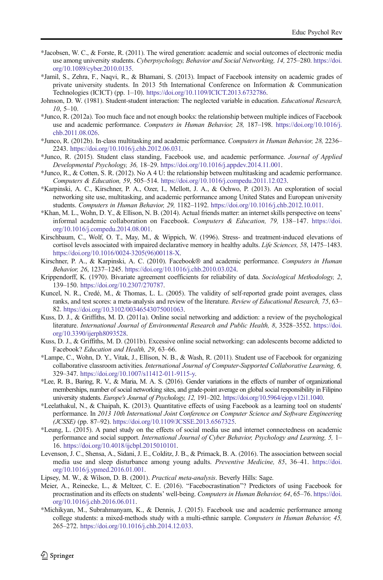- <span id="page-23-0"></span>\*Jacobsen, W. C., & Forste, R. (2011). The wired generation: academic and social outcomes of electronic media use among university students. Cyberpsychology, Behavior and Social Networking, 14, 275–280. [https://doi.](https://doi.org/10.1089/cyber.2010.0135) [org/10.1089/cyber.2010.0135](https://doi.org/10.1089/cyber.2010.0135).
- \*Jamil, S., Zehra, F., Naqvi, R., & Bhamani, S. (2013). Impact of Facebook intensity on academic grades of private university students. In 2013 5th International Conference on Information & Communication Technologies (ICICT) (pp. 1–10). [https://doi.org/10.1109/ICICT.2013.6732786.](https://doi.org/10.1109/ICICT.2013.6732786)
- Johnson, D. W. (1981). Student-student interaction: The neglected variable in education. Educational Research, 10, 5–10.
- \*Junco, R. (2012a). Too much face and not enough books: the relationship between multiple indices of Facebook use and academic performance. Computers in Human Behavior, 28, 187–198. [https://doi.org/10.1016/j.](https://doi.org/10.1016/j.chb.2011.08.026) [chb.2011.08.026](https://doi.org/10.1016/j.chb.2011.08.026).
- \*Junco, R. (2012b). In-class multitasking and academic performance. Computers in Human Behavior, 28, 2236– 2243. <https://doi.org/10.1016/j.chb.2012.06.031>.
- \*Junco, R. (2015). Student class standing, Facebook use, and academic performance. Journal of Applied Developmental Psychology, 36, 18–29. <https://doi.org/10.1016/j.appdev.2014.11.001>.
- \*Junco, R., & Cotten, S. R. (2012). No A 4 U: the relationship between multitasking and academic performance. Computers & Education, 59, 505–514. <https://doi.org/10.1016/j.compedu.2011.12.023>.
- \*Karpinski, A. C., Kirschner, P. A., Ozer, I., Mellott, J. A., & Ochwo, P. (2013). An exploration of social networking site use, multitasking, and academic performance among United States and European university students. Computers in Human Behavior, 29, 1182–1192. <https://doi.org/10.1016/j.chb.2012.10.011>.
- \*Khan, M. L., Wohn, D. Y., & Ellison, N. B. (2014). Actual friends matter: an internet skills perspective on teens' informal academic collaboration on Facebook. Computers & Education, 79, 138–147. [https://doi.](https://doi.org/10.1016/j.compedu.2014.08.001) [org/10.1016/j.compedu.2014.08.001.](https://doi.org/10.1016/j.compedu.2014.08.001)
- Kirschbaum, C., Wolf, O. T., May, M., & Wippich, W. (1996). Stress- and treatment-induced elevations of cortisol levels associated with impaired declarative memory in healthy adults. Life Sciences, 58, 1475–1483. [https://doi.org/10.1016/0024-3205\(96\)00118-X](https://doi.org/10.1016/0024-3205(96)00118-X).
- Kirschner, P. A., & Karpinski, A. C. (2010). Facebook® and academic performance. Computers in Human Behavior, 26, 1237–1245. <https://doi.org/10.1016/j.chb.2010.03.024>.
- Krippendorff, K. (1970). Bivariate agreement coefficients for reliability of data. Sociological Methodology, 2, 139–150. <https://doi.org/10.2307/270787>.
- Kuncel, N. R., Credé, M., & Thomas, L. L. (2005). The validity of self-reported grade point averages, class ranks, and test scores: a meta-analysis and review of the literature. Review of Educational Research, 75, 63– 82. [https://doi.org/10.3102/00346543075001063.](https://doi.org/10.3102/00346543075001063)
- Kuss, D. J., & Griffiths, M. D. (2011a). Online social networking and addiction: a review of the psychological literature. International Journal of Environmental Research and Public Health, 8, 3528–3552. [https://doi.](https://doi.org/10.3390/ijerph8093528) [org/10.3390/ijerph8093528.](https://doi.org/10.3390/ijerph8093528)
- Kuss, D. J., & Griffiths, M. D. (2011b). Excessive online social networking: can adolescents become addicted to Facebook? Education and Health, 29, 63–66.
- \*Lampe, C., Wohn, D. Y., Vitak, J., Ellison, N. B., & Wash, R. (2011). Student use of Facebook for organizing collaborative classroom activities. International Journal of Computer-Supported Collaborative Learning, 6, 329–347. [https://doi.org/10.1007/s11412-011-9115-y.](https://doi.org/10.1007/s11412-011-9115-y)
- \*Lee, R. B., Baring, R. V., & Maria, M. A. S. (2016). Gender variations in the effects of number of organizational memberships, number of social networking sites, and grade-point average on global social responsibility in Filipino university students. Europe's Journal of Psychology, 12, 191-202. <https://doi.org/10.5964/ejop.v12i1.1040>.
- \*Leelathakul, N., & Chaipah, K. (2013). Quantitative effects of using Facebook as a learning tool on students' performance. In 2013 10th International Joint Conference on Computer Science and Software Engineering (JCSSE) (pp. 87–92). <https://doi.org/10.1109/JCSSE.2013.6567325>.
- \*Leung, L. (2015). A panel study on the effects of social media use and internet connectedness on academic performance and social support. International Journal of Cyber Behavior, Psychology and Learning, 5, 1– 16. [https://doi.org/10.4018/ijcbpl.2015010101.](https://doi.org/10.4018/ijcbpl.2015010101)
- Levenson, J. C., Shensa, A., Sidani, J. E., Colditz, J. B., & Primack, B. A. (2016). The association between social media use and sleep disturbance among young adults. Preventive Medicine, 85, 36–41. [https://doi.](https://doi.org/10.1016/j.ypmed.2016.01.001) [org/10.1016/j.ypmed.2016.01.001.](https://doi.org/10.1016/j.ypmed.2016.01.001)
- Lipsey, M. W., & Wilson, D. B. (2001). Practical meta-analysis. Beverly Hills: Sage.
- Meier, A., Reinecke, L., & Meltzer, C. E. (2016). "Facebocrastination"? Predictors of using Facebook for procrastination and its effects on students' well-being. Computers in Human Behavior, 64, 65–76. [https://doi.](https://doi.org/10.1016/j.chb.2016.06.011) [org/10.1016/j.chb.2016.06.011](https://doi.org/10.1016/j.chb.2016.06.011).
- \*Michikyan, M., Subrahmanyam, K., & Dennis, J. (2015). Facebook use and academic performance among college students: a mixed-methods study with a multi-ethnic sample. Computers in Human Behavior, 45, 265–272. [https://doi.org/10.1016/j.chb.2014.12.033.](https://doi.org/10.1016/j.chb.2014.12.033)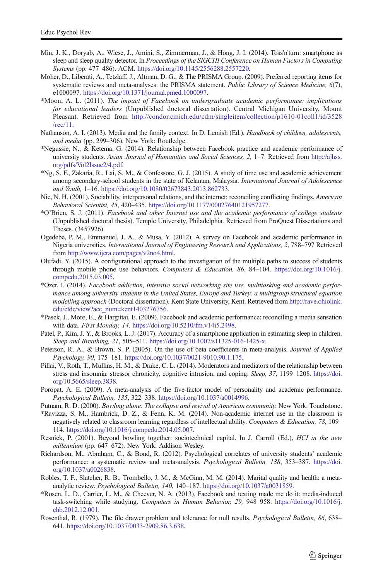- <span id="page-24-0"></span>Min, J. K., Doryab, A., Wiese, J., Amini, S., Zimmerman, J., & Hong, J. I. (2014). Toss'n'turn: smartphone as sleep and sleep quality detector. In *Proceedings of the SIGCHI Conference on Human Factors in Computing* Systems (pp. 477–486). ACM. [https://doi.org/10.1145/2556288.2557220.](https://doi.org/10.1145/2556288.2557220)
- Moher, D., Liberati, A., Tetzlaff, J., Altman, D. G., & The PRISMA Group. (2009). Preferred reporting items for systematic reviews and meta-analyses: the PRISMA statement. Public Library of Science Medicine, 6(7), e1000097. <https://doi.org/10.1371/journal.pmed.1000097>.
- \*Moon, A. L. (2011). The impact of Facebook on undergraduate academic performance: implications for educational leaders (Unpublished doctoral dissertation). Central Michigan University, Mount Pleasant. Retrieved from [http://condor.cmich.edu/cdm/singleitem/collection/p1610-01coll1/id/3528](http://condor.cmich.edu/cdm/singleitem/collection/p1610-01coll1/id/3528/rec/11) [/rec/11.](http://condor.cmich.edu/cdm/singleitem/collection/p1610-01coll1/id/3528/rec/11)
- Nathanson, A. I. (2013). Media and the family context. In D. Lemish (Ed.), *Handbook of children, adolescents*, and media (pp. 299–306). New York: Routledge.
- \*Negussie, N., & Ketema, G. (2014). Relationship between Facebook practice and academic performance of university students. Asian Journal of Humanities and Social Sciences, 2, 1–7. Retrieved from [http://ajhss.](http://ajhss.org/pdfs/Vol2Issue2/4.pdf) [org/pdfs/Vol2Issue2/4.pdf](http://ajhss.org/pdfs/Vol2Issue2/4.pdf).
- \*Ng, S. F., Zakaria, R., Lai, S. M., & Confessore, G. J. (2015). A study of time use and academic achievement among secondary-school students in the state of Kelantan, Malaysia. *International Journal of Adolescence* and Youth, 1–16. [https://doi.org/10.1080/02673843.2013.862733.](https://doi.org/10.1080/02673843.2013.862733)
- Nie, N. H. (2001). Sociability, interpersonal relations, and the internet: reconciling conflicting findings. American Behavioral Scientist, 45, 420–435. <https://doi.org/10.1177/00027640121957277>.
- \*O'Brien, S. J. (2011). Facebook and other Internet use and the academic performance of college students (Unpublished doctoral thesis). Temple University, Philadelphia. Retrieved from ProQuest Dissertations and Theses. (3457926).
- Ogedebe, P. M., Emmanuel, J. A., & Musa, Y. (2012). A survey on Facebook and academic performance in Nigeria universities. International Journal of Engineering Research and Applications, 2, 788–797 Retrieved from [http://www.ijera.com/pages/v2no4.html.](http://www.ijera.com/pages/v2no4.html)
- Olufadi, Y. (2015). A configurational approach to the investigation of the multiple paths to success of students through mobile phone use behaviors. Computers & Education, 86, 84–104. [https://doi.org/10.1016/j.](https://doi.org/10.1016/j.compedu.2015.03.005) [compedu.2015.03.005.](https://doi.org/10.1016/j.compedu.2015.03.005)
- \*Ozer, I. (2014). Facebook addiction, intensive social networking site use, multitasking and academic performance among university students in the United States, Europe and Turkey: a multigroup structural equation modelling approach (Doctoral dissertation). Kent State University, Kent. Retrieved from [http://rave.ohiolink.](http://rave.ohiolink.edu/etdc/view?acc_num=kent1403276756) [edu/etdc/view?acc\\_num=kent1403276756](http://rave.ohiolink.edu/etdc/view?acc_num=kent1403276756).
- \*Pasek, J., More, E., & Hargittai, E. (2009). Facebook and academic performance: reconciling a media sensation with data. First Monday, 14. <https://doi.org/10.5210/fm.v14i5.2498>.
- Patel, P., Kim, J. Y., & Brooks, L. J. (2017). Accuracy of a smartphone application in estimating sleep in children. Sleep and Breathing, 21, 505–511. <https://doi.org/10.1007/s11325-016-1425-x>.
- Peterson, R. A., & Brown, S. P. (2005). On the use of beta coefficients in meta-analysis. Journal of Applied Psychology, 90, 175–181. [https://doi.org/10.1037/0021-9010.90.1.175.](https://doi.org/10.1037/0021-9010.90.1.175)
- Pillai, V., Roth, T., Mullins, H. M., & Drake, C. L. (2014). Moderators and mediators of the relationship between stress and insomnia: stressor chronicity, cognitive intrusion, and coping. Sleep, 37, 1199–1208. [https://doi.](https://doi.org/10.5665/sleep.3838) [org/10.5665/sleep.3838](https://doi.org/10.5665/sleep.3838).
- Poropat, A. E. (2009). A meta-analysis of the five-factor model of personality and academic performance. Psychological Bulletin, 135, 322–338. [https://doi.org/10.1037/a0014996.](https://doi.org/10.1037/a0014996)
- Putnam, R. D. (2000). Bowling alone: The collapse and revival of American community. New York: Touchstone.
- \*Ravizza, S. M., Hambrick, D. Z., & Fenn, K. M. (2014). Non-academic internet use in the classroom is negatively related to classroom learning regardless of intellectual ability. Computers & Education, 78, 109– 114. <https://doi.org/10.1016/j.compedu.2014.05.007.>
- Resnick, P. (2001). Beyond bowling together: sociotechnical capital. In J. Carroll (Ed.), HCI in the new millennium (pp. 647–672). New York: Addison Wesley.
- Richardson, M., Abraham, C., & Bond, R. (2012). Psychological correlates of university students' academic performance: a systematic review and meta-analysis. Psychological Bulletin, 138, 353–387. [https://doi.](https://doi.org/10.1037/a0026838) [org/10.1037/a0026838.](https://doi.org/10.1037/a0026838)
- Robles, T. F., Slatcher, R. B., Trombello, J. M., & McGinn, M. M. (2014). Marital quality and health: a metaanalytic review. Psychological Bulletin, 140, 140–187. [https://doi.org/10.1037/a0031859.](https://doi.org/10.1037/a0031859)
- \*Rosen, L. D., Carrier, L. M., & Cheever, N. A. (2013). Facebook and texting made me do it: media-induced task-switching while studying. Computers in Human Behavior, 29, 948–958. [https://doi.org/10.1016/j.](https://doi.org/10.1016/j.chb.2012.12.001.) [chb.2012.12.001.](https://doi.org/10.1016/j.chb.2012.12.001.)
- Rosenthal, R. (1979). The file drawer problem and tolerance for null results. Psychological Bulletin, 86, 638– 641. <https://doi.org/10.1037/0033-2909.86.3.638>.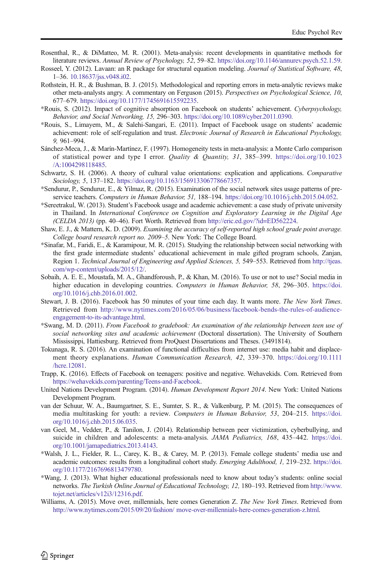- <span id="page-25-0"></span>Rosenthal, R., & DiMatteo, M. R. (2001). Meta-analysis: recent developments in quantitative methods for literature reviews. Annual Review of Psychology, 52, 59–82. [https://doi.org/10.1146/annurev.psych.52.1.59.](https://doi.org/10.1146/annurev.psych.52.1.59)
- Rosseel, Y. (2012). Lavaan: an R package for structural equation modeling. Journal of Statistical Software, 48, 1–36. [10.18637/jss.v048.i02.](https://doi.org/10.18637/jss.v048.i02)
- Rothstein, H. R., & Bushman, B. J. (2015). Methodological and reporting errors in meta-analytic reviews make other meta-analysts angry. A commentary on Ferguson (2015). Perspectives on Psychological Science, 10, 677–679. [https://doi.org/10.1177/1745691615592235.](https://doi.org/10.1177/1745691615592235)
- \*Rouis, S. (2012). Impact of cognitive absorption on Facebook on students' achievement. Cyberpsychology, Behavior, and Social Networking, 15, 296–303. <https://doi.org/10.1089/cyber.2011.0390.>
- \*Rouis, S., Limayem, M., & Salehi-Sangari, E. (2011). Impact of Facebook usage on students' academic achievement: role of self-regulation and trust. Electronic Journal of Research in Educational Psychology, 9, 961–994.
- Sánchez-Meca, J., & Marín-Martínez, F. (1997). Homogeneity tests in meta-analysis: a Monte Carlo comparison of statistical power and type I error. Quality & Quantity, 31, 385–399. [https://doi.org/10.1023](https://doi.org/10.1023/A:1004298118485) [/A:1004298118485.](https://doi.org/10.1023/A:1004298118485)
- Schwartz, S. H. (2006). A theory of cultural value orientations: explication and applications. Comparative Sociology, 5, 137–182. [https://doi.org/10.1163/156913306778667357.](https://doi.org/10.1163/156913306778667357)
- \*Sendurur, P., Sendurur, E., & Yilmaz, R. (2015). Examination of the social network sites usage patterns of preservice teachers. Computers in Human Behavior, 51, 188–194. <https://doi.org/10.1016/j.chb.2015.04.052>.
- \*Sereetrakul, W. (2013). Student's Facebook usage and academic achievement: a case study of private university in Thailand. In International Conference on Cognition and Exploratory Learning in the Digital Age (CELDA 2013) (pp. 40–46). Fort Worth. Retrieved from [http://eric.ed.gov/?id=ED562224.](http://eric.ed.gov/?id=ED562224)
- Shaw, E. J., & Mattern, K. D. (2009). Examining the accuracy of self-reported high school grade point average. College board research report no. 2009–5. New York: The College Board.
- \*Sinafar, M., Faridi, E., & Karamipour, M. R. (2015). Studying the relationship between social networking with the first grade intermediate students' educational achievement in male gifted program schools, Zanjan, Region 1. Technical Journal of Engineering and Applied Sciences, 5, 549–553. Retrieved from [http://tjeas.](http://tjeas.com/wp-content/uploads/2015/12/) [com/wp-content/uploads/2015/12/.](http://tjeas.com/wp-content/uploads/2015/12/)
- Sobaih, A. E. E., Moustafa, M. A., Ghandforoush, P., & Khan, M. (2016). To use or not to use? Social media in higher education in developing countries. Computers in Human Behavior, 58, 296-305. [https://doi.](https://doi.org/10.1016/j.chb.2016.01.002) [org/10.1016/j.chb.2016.01.002.](https://doi.org/10.1016/j.chb.2016.01.002)
- Stewart, J. B. (2016). Facebook has 50 minutes of your time each day. It wants more. The New York Times. Retrieved from [http://www.nytimes.com/2016/05/06/business/facebook-bends-the-rules-of-audience](http://www.nytimes.com/2016/05/06/business/facebook-bends-the-rules-of-audience-engagement-to-its-advantage.html)[engagement-to-its-advantage.html](http://www.nytimes.com/2016/05/06/business/facebook-bends-the-rules-of-audience-engagement-to-its-advantage.html).
- \*Swang, M. D. (2011). From Facebook to gradebook: An examination of the relationship between teen use of social networking sites and academic achievement (Doctoral dissertation). The University of Southern Mississippi, Hattiesburg. Retrieved from ProQuest Dissertations and Theses. (3491814).
- Tokunaga, R. S. (2016). An examination of functional difficulties from internet use: media habit and displacement theory explanations. Human Communication Research, 42, 339-370. [https://doi.org/10.1111](https://doi.org/10.1111/hcre.12081) [/hcre.12081](https://doi.org/10.1111/hcre.12081).
- Trapp, K. (2016). Effects of Facebook on teenagers: positive and negative. Wehavekids. Com. Retrieved from [https://wehavekids.com/parenting/Teens-and-Facebook.](https://wehavekids.com/parenting/Teens-and-Facebook)
- United Nations Development Program. (2014). Human Development Report 2014. New York: United Nations Development Program.
- van der Schuur, W. A., Baumgartner, S. E., Sumter, S. R., & Valkenburg, P. M. (2015). The consequences of media multitasking for youth: a review. Computers in Human Behavior, 53, 204–215. [https://doi.](https://doi.org/10.1016/j.chb.2015.06.035) [org/10.1016/j.chb.2015.06.035.](https://doi.org/10.1016/j.chb.2015.06.035)
- van Geel, M., Vedder, P., & Tanilon, J. (2014). Relationship between peer victimization, cyberbullying, and suicide in children and adolescents: a meta-analysis. JAMA Pediatrics, 168, 435-442. [https://doi.](https://doi.org/10.1001/jamapediatrics.2013.4143) [org/10.1001/jamapediatrics.2013.4143](https://doi.org/10.1001/jamapediatrics.2013.4143).
- \*Walsh, J. L., Fielder, R. L., Carey, K. B., & Carey, M. P. (2013). Female college students' media use and academic outcomes: results from a longitudinal cohort study. *Emerging Adulthood*, 1, 219–232. [https://doi.](https://doi.org/10.1177/2167696813479780.) [org/10.1177/2167696813479780.](https://doi.org/10.1177/2167696813479780.)
- \*Wang, J. (2013). What higher educational professionals need to know about today's students: online social networks. The Turkish Online Journal of Educational Technology, 12, 180–193. Retrieved from [http://www.](http://www.tojet.net/articles/v12i3/12316.pdf) [tojet.net/articles/v12i3/12316.pdf](http://www.tojet.net/articles/v12i3/12316.pdf).
- Williams, A. (2015). Move over, millennials, here comes Generation Z. The New York Times. Retrieved from [http://www.nytimes.com/2015/09/20/fashion/ move-over-millennials-here-comes-generation-z.html.](http://www.nytimes.com/2015/09/20/fashion/%20move-over-millennials-here-comes-generation-z.html)